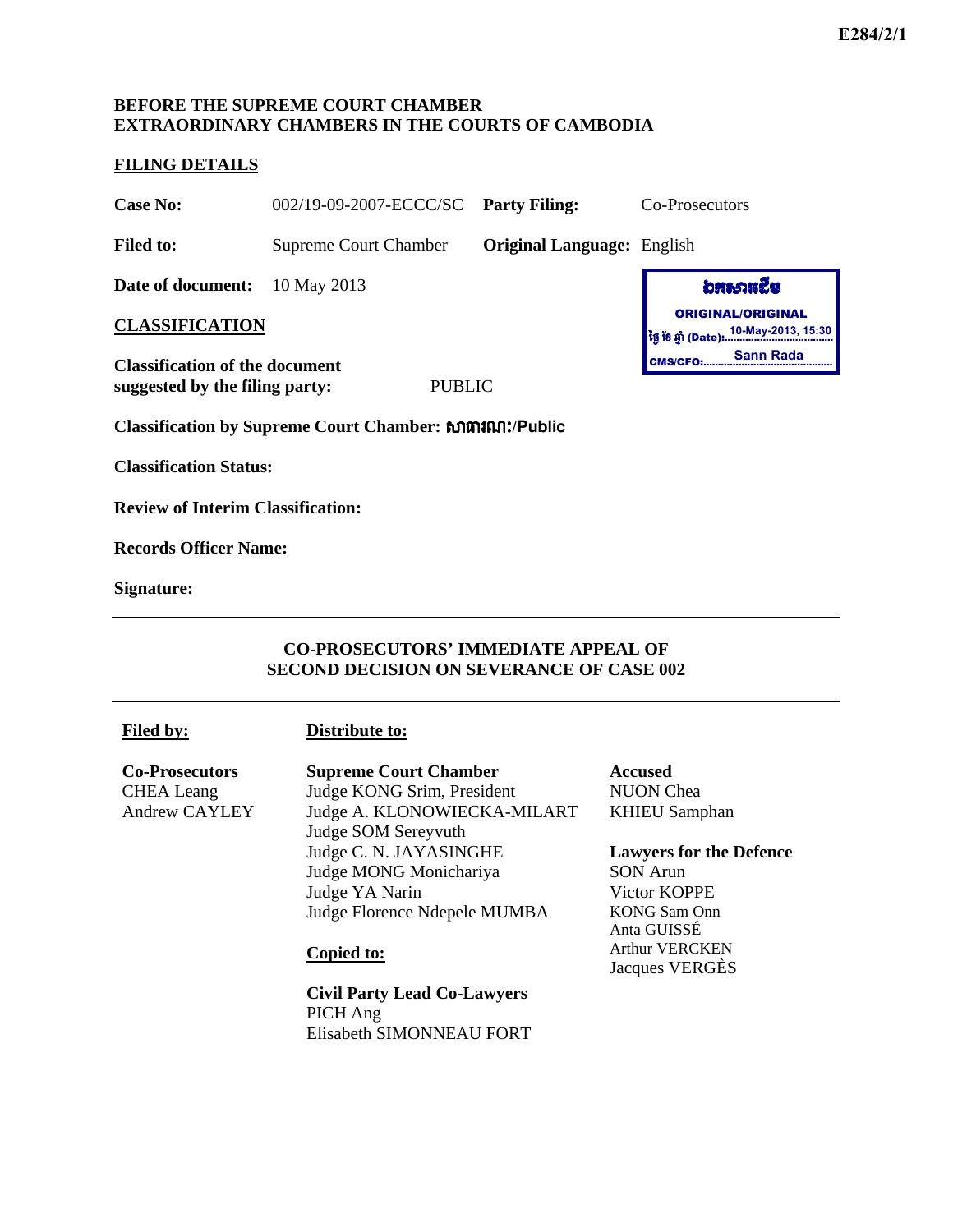## **BEFORE THE SUPREME COURT CHAMBER EXTRAORDINARY CHAMBERS IN THE COURTS OF CAMBODIA**

### **FILING DETAILS**

**Case No:** 002/19-09-2007-ECCC/SC **Party Filing:** Co-Prosecutors

**Filed to:** Supreme Court Chamber **Original Language:** English

**Date of document:** 10 May 2013

**CLASSIFICATION** 

**Classification of the document suggested by the filing party:** PUBLIC

**Classification by Supreme Court Chamber:** ⅜ēũ‗к **/Public**

**Classification Status:**

**Review of Interim Classification:** 

**Records Officer Name:** 

**Signature:**

## **CO-PROSECUTORS' IMMEDIATE APPEAL OF SECOND DECISION ON SEVERANCE OF CASE 002**

#### **Distribute to:**

**Co-Prosecutors**  CHEA Leang Andrew CAYLEY **Supreme Court Chamber**  Judge KONG Srim, President Judge A. KLONOWIECKA-MILART Judge SOM Sereyvuth Judge C. N. JAYASINGHE Judge MONG Monichariya Judge YA Narin Judge Florence Ndepele MUMBA

#### **Copied to:**

**Civil Party Lead Co-Lawyers**  PICH Ang Elisabeth SIMONNEAU FORT **Accused**  NUON Chea KHIEU Samphan

**Lawyers for the Defence**  SON Arun Victor KOPPE KONG Sam Onn Anta GUISSÉ Arthur VERCKEN Jacques VERGÈS

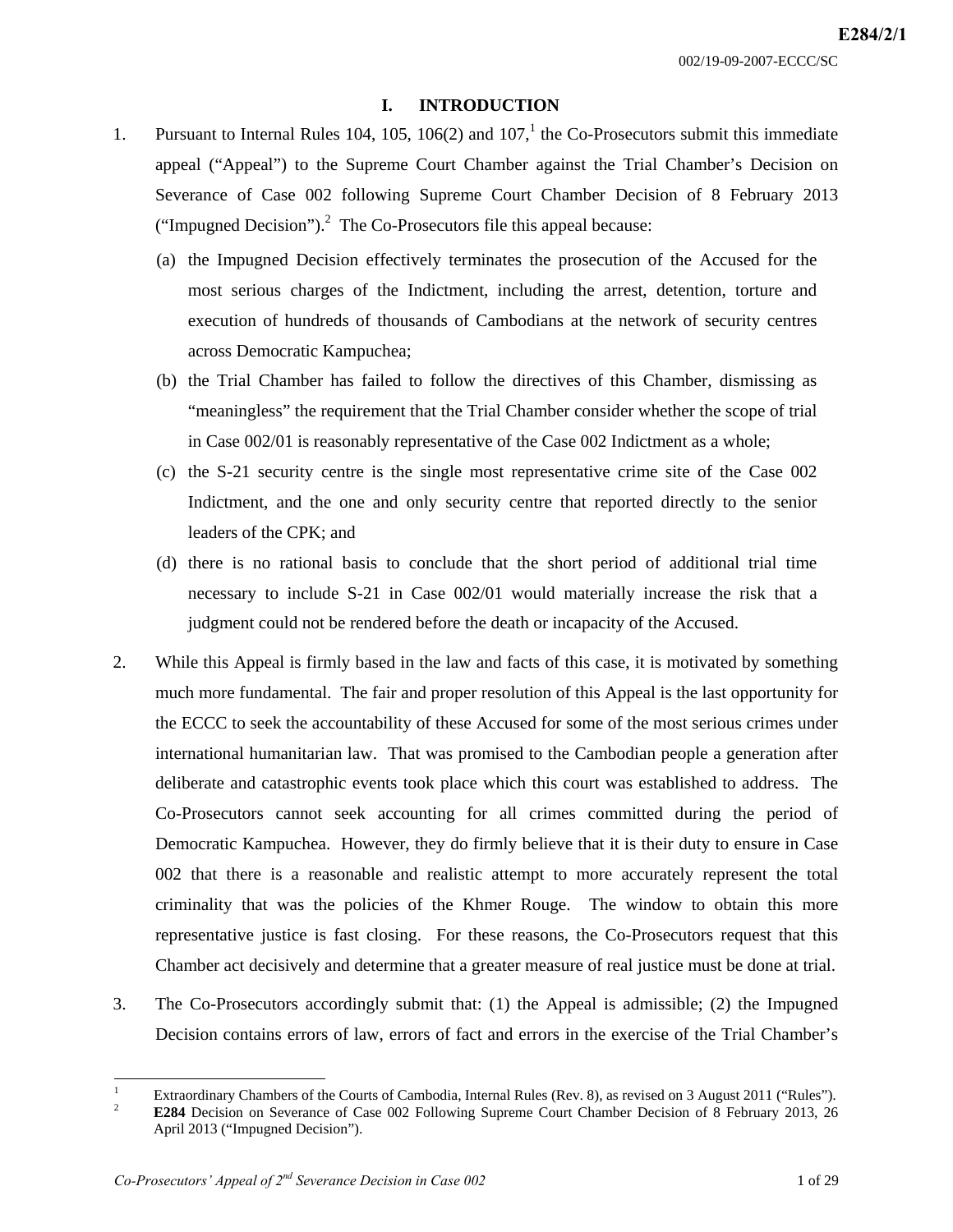## **I. INTRODUCTION**

- 1. Pursuant to Internal Rules 104, 105, 106(2) and  $107<sup>1</sup>$ , the Co-Prosecutors submit this immediate appeal ("Appeal") to the Supreme Court Chamber against the Trial Chamber's Decision on Severance of Case 002 following Supreme Court Chamber Decision of 8 February 2013 ("Impugned Decision"). $^2$  The Co-Prosecutors file this appeal because:
	- (a) the Impugned Decision effectively terminates the prosecution of the Accused for the most serious charges of the Indictment, including the arrest, detention, torture and execution of hundreds of thousands of Cambodians at the network of security centres across Democratic Kampuchea;
	- (b) the Trial Chamber has failed to follow the directives of this Chamber, dismissing as "meaningless" the requirement that the Trial Chamber consider whether the scope of trial in Case 002/01 is reasonably representative of the Case 002 Indictment as a whole;
	- (c) the S-21 security centre is the single most representative crime site of the Case 002 Indictment, and the one and only security centre that reported directly to the senior leaders of the CPK; and
	- (d) there is no rational basis to conclude that the short period of additional trial time necessary to include S-21 in Case 002/01 would materially increase the risk that a judgment could not be rendered before the death or incapacity of the Accused.
- 2. While this Appeal is firmly based in the law and facts of this case, it is motivated by something much more fundamental. The fair and proper resolution of this Appeal is the last opportunity for the ECCC to seek the accountability of these Accused for some of the most serious crimes under international humanitarian law. That was promised to the Cambodian people a generation after deliberate and catastrophic events took place which this court was established to address. The Co-Prosecutors cannot seek accounting for all crimes committed during the period of Democratic Kampuchea. However, they do firmly believe that it is their duty to ensure in Case 002 that there is a reasonable and realistic attempt to more accurately represent the total criminality that was the policies of the Khmer Rouge. The window to obtain this more representative justice is fast closing. For these reasons, the Co-Prosecutors request that this Chamber act decisively and determine that a greater measure of real justice must be done at trial.
- 3. The Co-Prosecutors accordingly submit that: (1) the Appeal is admissible; (2) the Impugned Decision contains errors of law, errors of fact and errors in the exercise of the Trial Chamber's

 $\frac{1}{1}$ Extraordinary Chambers of the Courts of Cambodia, Internal Rules (Rev. 8), as revised on 3 August 2011 ("Rules").

 $\mathfrak{D}$  **E284** Decision on Severance of Case 002 Following Supreme Court Chamber Decision of 8 February 2013, 26 April 2013 ("Impugned Decision").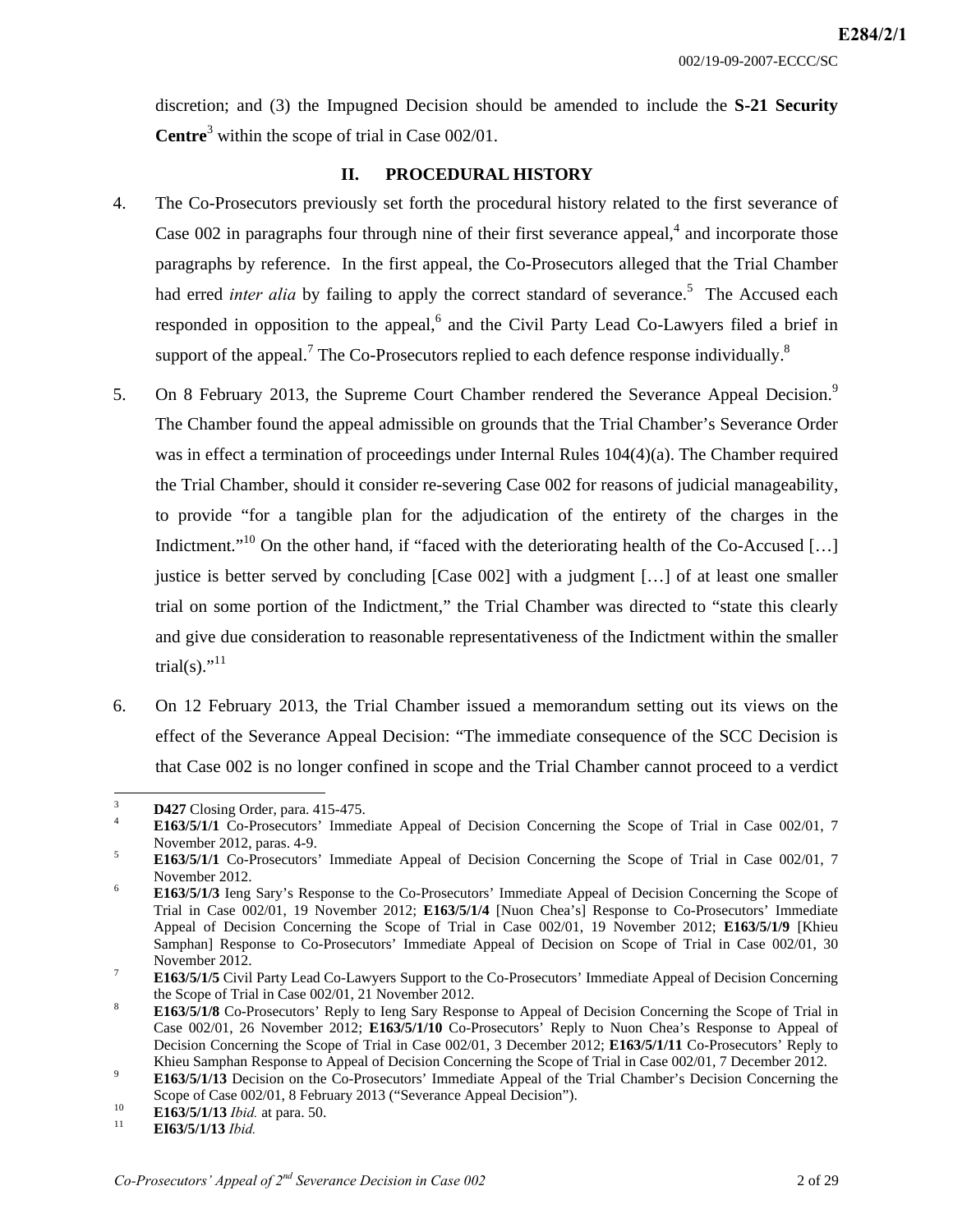discretion; and (3) the Impugned Decision should be amended to include the **S-21 Security Centre**<sup>3</sup> within the scope of trial in Case 002/01.

## **II. PROCEDURAL HISTORY**

- 4. The Co-Prosecutors previously set forth the procedural history related to the first severance of Case 002 in paragraphs four through nine of their first severance appeal, $4$  and incorporate those paragraphs by reference. In the first appeal, the Co-Prosecutors alleged that the Trial Chamber had erred *inter alia* by failing to apply the correct standard of severance.<sup>5</sup> The Accused each responded in opposition to the appeal, $6$  and the Civil Party Lead Co-Lawyers filed a brief in support of the appeal.<sup>7</sup> The Co-Prosecutors replied to each defence response individually.<sup>8</sup>
- 5. On 8 February 2013, the Supreme Court Chamber rendered the Severance Appeal Decision.<sup>9</sup> The Chamber found the appeal admissible on grounds that the Trial Chamber's Severance Order was in effect a termination of proceedings under Internal Rules 104(4)(a). The Chamber required the Trial Chamber, should it consider re-severing Case 002 for reasons of judicial manageability, to provide "for a tangible plan for the adjudication of the entirety of the charges in the Indictment."<sup>10</sup> On the other hand, if "faced with the deteriorating health of the Co-Accused [...] justice is better served by concluding [Case 002] with a judgment […] of at least one smaller trial on some portion of the Indictment," the Trial Chamber was directed to "state this clearly and give due consideration to reasonable representativeness of the Indictment within the smaller trial(s)." $^{11}$
- 6. On 12 February 2013, the Trial Chamber issued a memorandum setting out its views on the effect of the Severance Appeal Decision: "The immediate consequence of the SCC Decision is that Case 002 is no longer confined in scope and the Trial Chamber cannot proceed to a verdict

 3  $\frac{1}{4}$  **D427** Closing Order, para. 415-475.

**E163/5/1/1** Co-Prosecutors' Immediate Appeal of Decision Concerning the Scope of Trial in Case 002/01, 7 November 2012, paras. 4-9.<br> $\frac{5}{163646444}$  Co Prosecutors'

**E163/5/1/1** Co-Prosecutors' Immediate Appeal of Decision Concerning the Scope of Trial in Case 002/01, 7 November 2012.

**E163/5/1/3** Ieng Sary's Response to the Co-Prosecutors' Immediate Appeal of Decision Concerning the Scope of Trial in Case 002/01, 19 November 2012; **E163/5/1/4** [Nuon Chea's] Response to Co-Prosecutors' Immediate Appeal of Decision Concerning the Scope of Trial in Case 002/01, 19 November 2012; **E163/5/1/9** [Khieu Samphan] Response to Co-Prosecutors' Immediate Appeal of Decision on Scope of Trial in Case 002/01, 30 November 2012.

**E163/5/1/5** Civil Party Lead Co-Lawyers Support to the Co-Prosecutors' Immediate Appeal of Decision Concerning the Scope of Trial in Case  $002/01$ , 21 November 2012.

**E163/5/1/8** Co-Prosecutors' Reply to Ieng Sary Response to Appeal of Decision Concerning the Scope of Trial in Case 002/01, 26 November 2012; **E163/5/1/10** Co-Prosecutors' Reply to Nuon Chea's Response to Appeal of Decision Concerning the Scope of Trial in Case 002/01, 3 December 2012; **E163/5/1/11** Co-Prosecutors' Reply to Khieu Samphan Response to Appeal of Decision Concerning the Scope of Trial in Case 002/01, 7 December 2012.

**E163/5/1/13** Decision on the Co-Prosecutors' Immediate Appeal of the Trial Chamber's Decision Concerning the Scope of Case 002/01, 8 February 2013 ("Severance Appeal Decision").<br> **E163/5/1/13** *Ibid.* at para. 50.<br> **EI63/5/1/13** *Ibid.*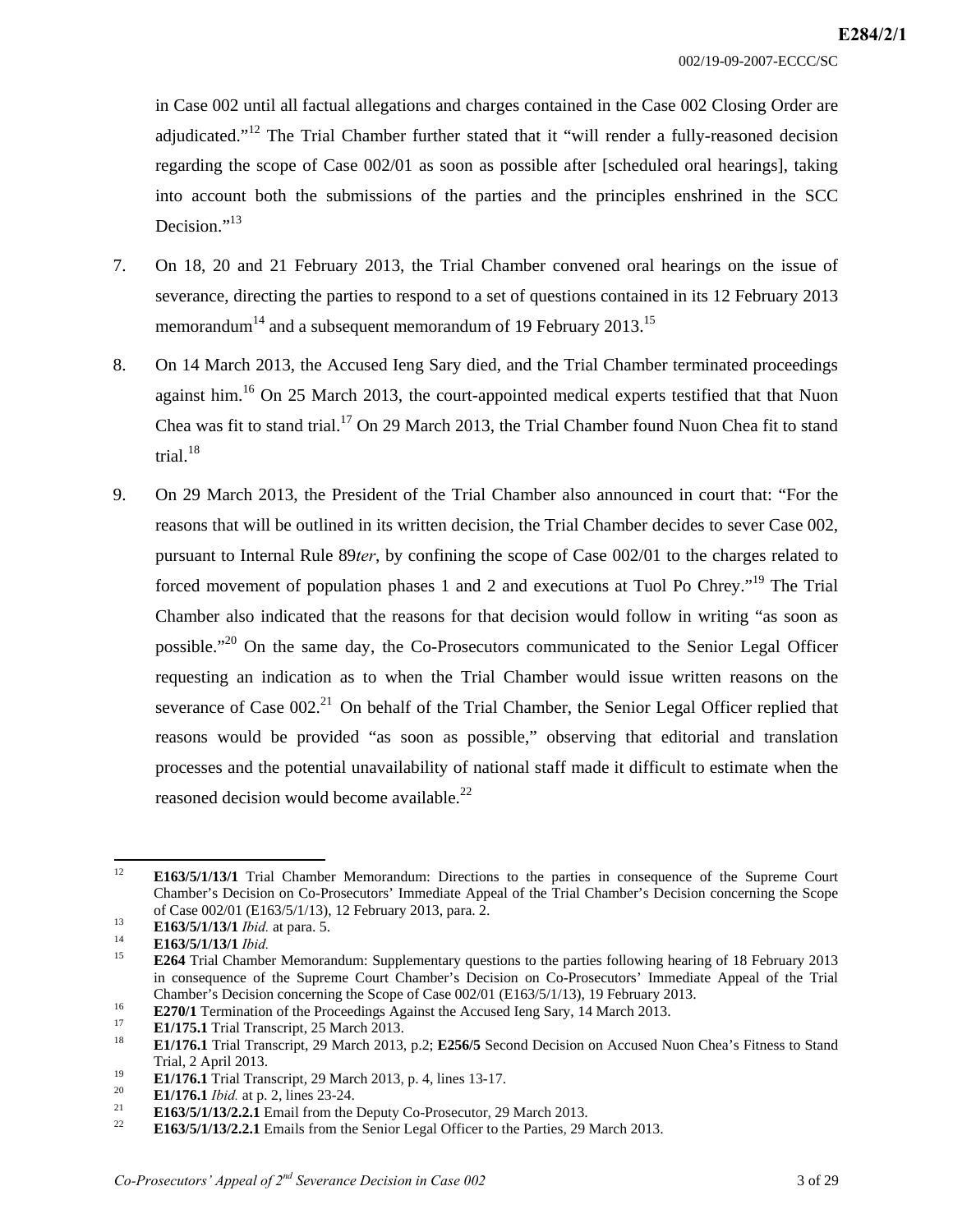in Case 002 until all factual allegations and charges contained in the Case 002 Closing Order are adjudicated."<sup>12</sup> The Trial Chamber further stated that it "will render a fully-reasoned decision regarding the scope of Case 002/01 as soon as possible after [scheduled oral hearings], taking into account both the submissions of the parties and the principles enshrined in the SCC Decision."<sup>13</sup>

- 7. On 18, 20 and 21 February 2013, the Trial Chamber convened oral hearings on the issue of severance, directing the parties to respond to a set of questions contained in its 12 February 2013 memorandum<sup>14</sup> and a subsequent memorandum of 19 February 2013.<sup>15</sup>
- 8. On 14 March 2013, the Accused Ieng Sary died, and the Trial Chamber terminated proceedings against him.<sup>16</sup> On 25 March 2013, the court-appointed medical experts testified that that Nuon Chea was fit to stand trial.<sup>17</sup> On 29 March 2013, the Trial Chamber found Nuon Chea fit to stand trial. $18$
- 9. On 29 March 2013, the President of the Trial Chamber also announced in court that: "For the reasons that will be outlined in its written decision, the Trial Chamber decides to sever Case 002, pursuant to Internal Rule 89*ter*, by confining the scope of Case 002/01 to the charges related to forced movement of population phases 1 and 2 and executions at Tuol Po Chrey."<sup>19</sup> The Trial Chamber also indicated that the reasons for that decision would follow in writing "as soon as possible."<sup>20</sup> On the same day, the Co-Prosecutors communicated to the Senior Legal Officer requesting an indication as to when the Trial Chamber would issue written reasons on the severance of Case  $002<sup>21</sup>$  On behalf of the Trial Chamber, the Senior Legal Officer replied that reasons would be provided "as soon as possible," observing that editorial and translation processes and the potential unavailability of national staff made it difficult to estimate when the reasoned decision would become available.<sup>22</sup>

 $12<sup>°</sup>$ 12 **E163/5/1/13/1** Trial Chamber Memorandum: Directions to the parties in consequence of the Supreme Court Chamber's Decision on Co-Prosecutors' Immediate Appeal of the Trial Chamber's Decision concerning the Scope

 $13$ <br>
E163/5/1/13/1 *Ibid.* at para. 5.<br>
E163/5/1/13/1 *Ibid.* at para. 5.<br>
E163/5/1/13/1 *Ibid.*<br>
E264 Trial Chamber Memorandum: Supplementary questions to the parties following hearing of 18 February 2013 in consequence of the Supreme Court Chamber's Decision on Co-Prosecutors' Immediate Appeal of the Trial

Chamber's Decision concerning the Scope of Case 002/01 (E163/5/1/13), 19 February 2013.<br> **E270/1** Termination of the Proceedings Against the Accused Ieng Sary, 14 March 2013.<br> **E1/175.1** Trial Transcript, 25 March 2013.<br> Trial, 2 April 2013.<br> **E1/176.1** Trial Transcript, 29 March 2013, p. 4, lines 13-17.<br> **E1/176.1** *Ibid.* at p. 2, lines 23-24.<br> **E163/5/1/13/2.2.1** Email from the Deputy Co-Prosecutor, 29 March 2013.<br> **E163/5/1/13/2.2.1** E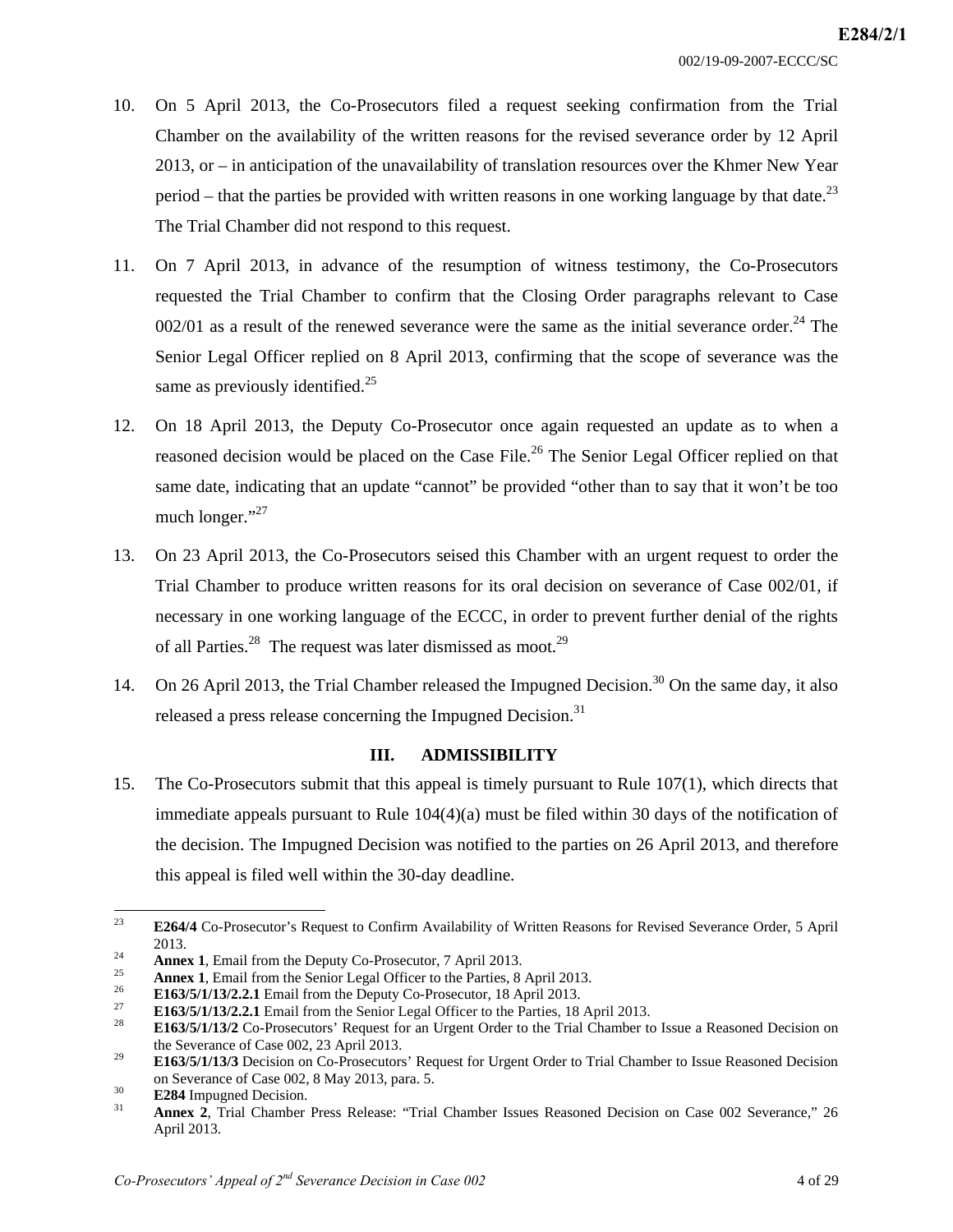- 10. On 5 April 2013, the Co-Prosecutors filed a request seeking confirmation from the Trial Chamber on the availability of the written reasons for the revised severance order by 12 April 2013, or – in anticipation of the unavailability of translation resources over the Khmer New Year period – that the parties be provided with written reasons in one working language by that date.<sup>23</sup> The Trial Chamber did not respond to this request.
- 11. On 7 April 2013, in advance of the resumption of witness testimony, the Co-Prosecutors requested the Trial Chamber to confirm that the Closing Order paragraphs relevant to Case  $002/01$  as a result of the renewed severance were the same as the initial severance order.<sup>24</sup> The Senior Legal Officer replied on 8 April 2013, confirming that the scope of severance was the same as previously identified.<sup>25</sup>
- 12. On 18 April 2013, the Deputy Co-Prosecutor once again requested an update as to when a reasoned decision would be placed on the Case File.<sup>26</sup> The Senior Legal Officer replied on that same date, indicating that an update "cannot" be provided "other than to say that it won't be too much longer."<sup>27</sup>
- 13. On 23 April 2013, the Co-Prosecutors seised this Chamber with an urgent request to order the Trial Chamber to produce written reasons for its oral decision on severance of Case 002/01, if necessary in one working language of the ECCC, in order to prevent further denial of the rights of all Parties.<sup>28</sup> The request was later dismissed as moot.<sup>29</sup>
- 14. On 26 April 2013, the Trial Chamber released the Impugned Decision.<sup>30</sup> On the same day, it also released a press release concerning the Impugned Decision.<sup>31</sup>

#### **III. ADMISSIBILITY**

15. The Co-Prosecutors submit that this appeal is timely pursuant to Rule 107(1), which directs that immediate appeals pursuant to Rule 104(4)(a) must be filed within 30 days of the notification of the decision. The Impugned Decision was notified to the parties on 26 April 2013, and therefore this appeal is filed well within the 30-day deadline.

 $23$ 23 **E264/4** Co-Prosecutor's Request to Confirm Availability of Written Reasons for Revised Severance Order, 5 April 2013.<br> **Annex 1**, Email from the Deputy Co-Prosecutor, 7 April 2013.<br> **Annex 1**, Email from the Senior Legal Officer to the Parties, 8 April 2013.<br> **E163/5/1/13/2.2.1** Email from the Deputy Co-Prosecutor, 18 April 2013.<br>

the Severance of Case 002, 23 April 2013. 29 **E163/5/1/13/3** Decision on Co-Prosecutors' Request for Urgent Order to Trial Chamber to Issue Reasoned Decision

on Severance of Case 002, 8 May 2013, para. 5.<br><sup>30</sup> **E284** Impugned Decision.<br>**31 Annex 2**, Trial Chamber Press Release: "Trial Chamber Issues Reasoned Decision on Case 002 Severance," 26

April 2013.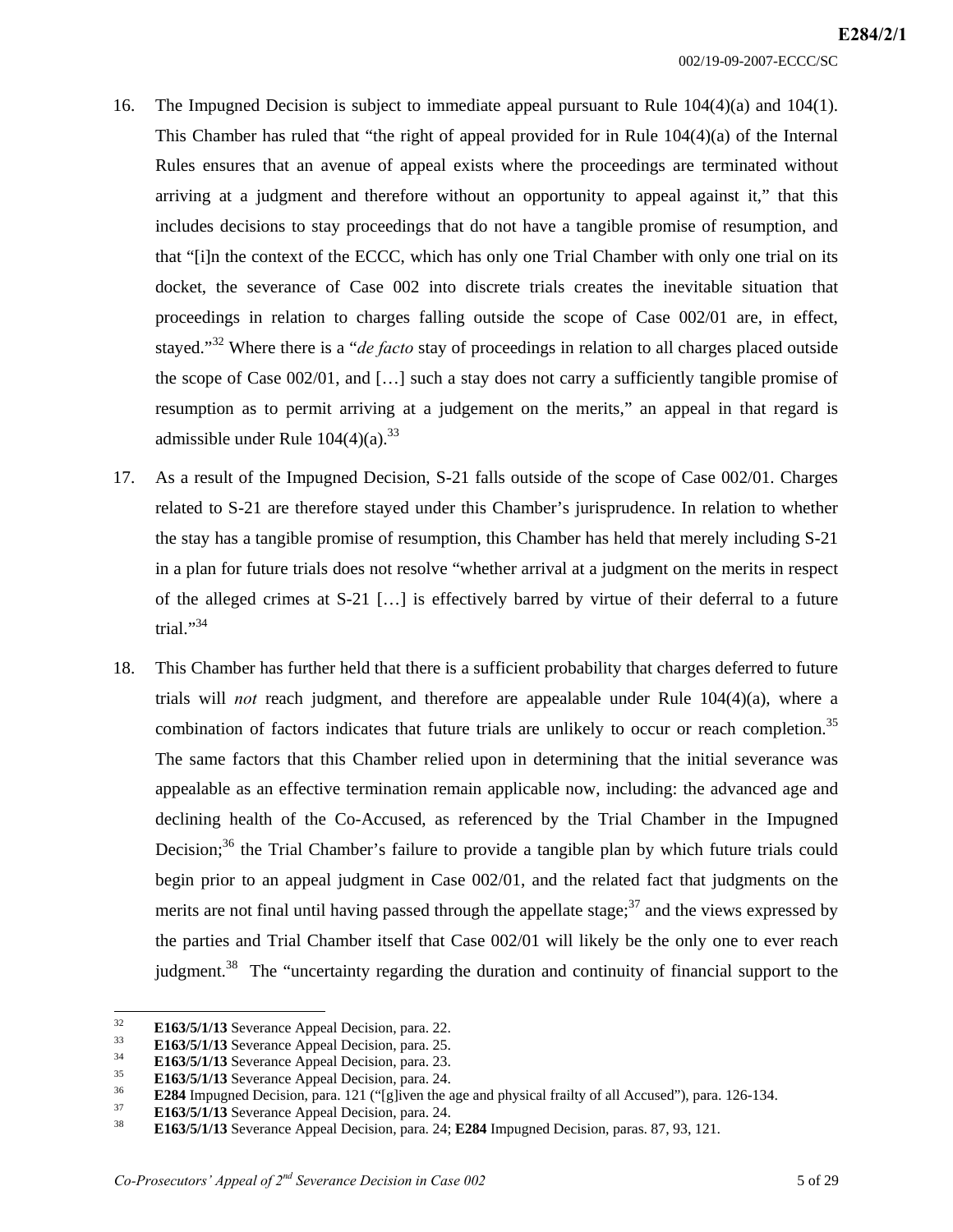- 16. The Impugned Decision is subject to immediate appeal pursuant to Rule 104(4)(a) and 104(1). This Chamber has ruled that "the right of appeal provided for in Rule  $104(4)(a)$  of the Internal Rules ensures that an avenue of appeal exists where the proceedings are terminated without arriving at a judgment and therefore without an opportunity to appeal against it," that this includes decisions to stay proceedings that do not have a tangible promise of resumption, and that "[i]n the context of the ECCC, which has only one Trial Chamber with only one trial on its docket, the severance of Case 002 into discrete trials creates the inevitable situation that proceedings in relation to charges falling outside the scope of Case 002/01 are, in effect, stayed."32 Where there is a "*de facto* stay of proceedings in relation to all charges placed outside the scope of Case 002/01, and […] such a stay does not carry a sufficiently tangible promise of resumption as to permit arriving at a judgement on the merits," an appeal in that regard is admissible under Rule  $104(4)(a)^{33}$
- 17. As a result of the Impugned Decision, S-21 falls outside of the scope of Case 002/01. Charges related to S-21 are therefore stayed under this Chamber's jurisprudence. In relation to whether the stay has a tangible promise of resumption, this Chamber has held that merely including S-21 in a plan for future trials does not resolve "whether arrival at a judgment on the merits in respect of the alleged crimes at S-21 […] is effectively barred by virtue of their deferral to a future trial."<sup>34</sup>
- 18. This Chamber has further held that there is a sufficient probability that charges deferred to future trials will *not* reach judgment, and therefore are appealable under Rule 104(4)(a), where a combination of factors indicates that future trials are unlikely to occur or reach completion.<sup>35</sup> The same factors that this Chamber relied upon in determining that the initial severance was appealable as an effective termination remain applicable now, including: the advanced age and declining health of the Co-Accused, as referenced by the Trial Chamber in the Impugned Decision;<sup>36</sup> the Trial Chamber's failure to provide a tangible plan by which future trials could begin prior to an appeal judgment in Case 002/01, and the related fact that judgments on the merits are not final until having passed through the appellate stage;  $37$  and the views expressed by the parties and Trial Chamber itself that Case 002/01 will likely be the only one to ever reach judgment.<sup>38</sup> The "uncertainty regarding the duration and continuity of financial support to the

<sup>32</sup> 

**E163/5/1/13** Severance Appeal Decision, para. 22.<br> **E163/5/1/13** Severance Appeal Decision, para. 25.<br> **E163/5/1/13** Severance Appeal Decision, para. 23.<br> **E163/5/1/13** Severance Appeal Decision, para. 24.<br> **E284** Impugn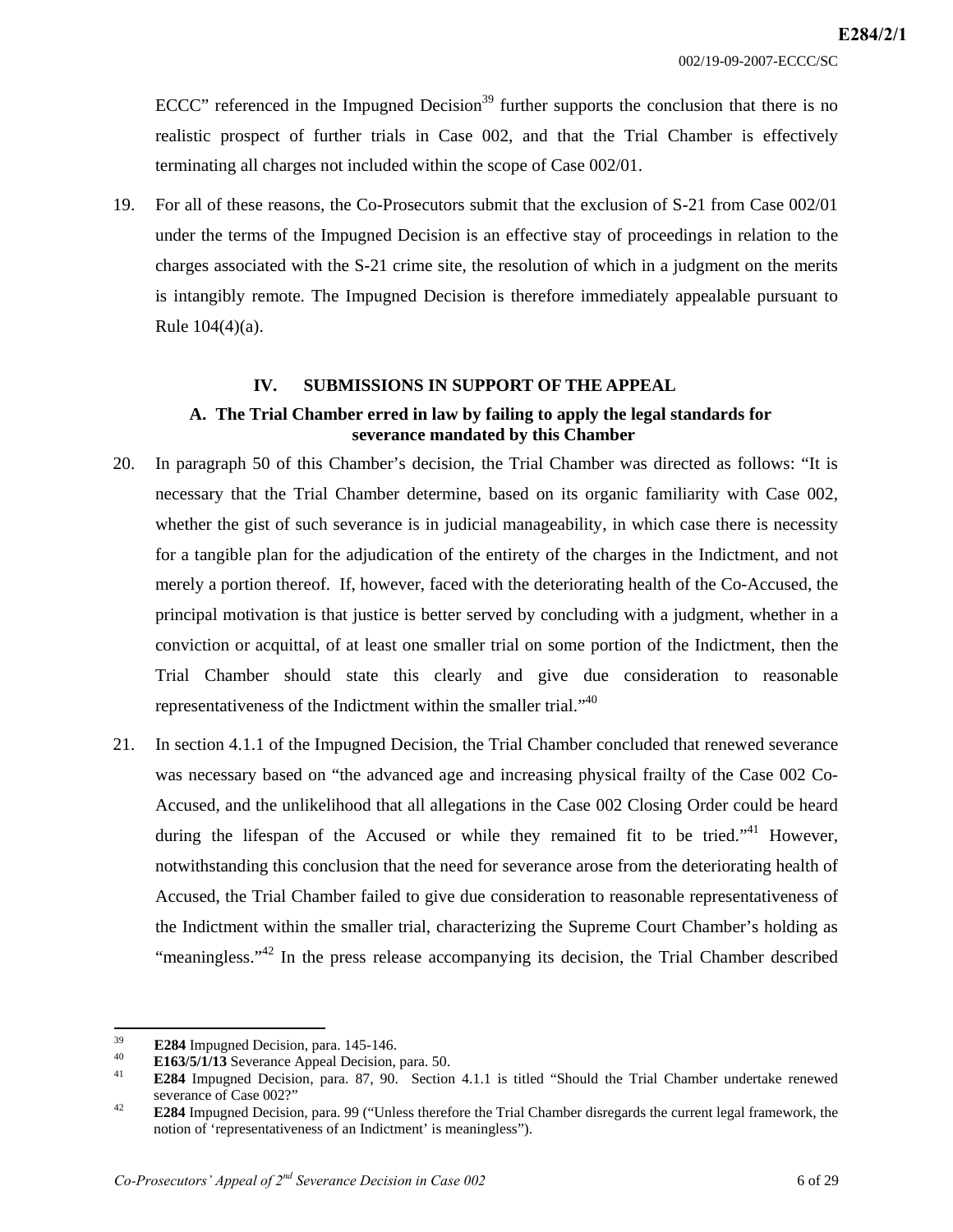ECCC" referenced in the Impugned Decision<sup>39</sup> further supports the conclusion that there is no realistic prospect of further trials in Case 002, and that the Trial Chamber is effectively terminating all charges not included within the scope of Case 002/01.

19. For all of these reasons, the Co-Prosecutors submit that the exclusion of S-21 from Case 002/01 under the terms of the Impugned Decision is an effective stay of proceedings in relation to the charges associated with the S-21 crime site, the resolution of which in a judgment on the merits is intangibly remote. The Impugned Decision is therefore immediately appealable pursuant to Rule 104(4)(a).

#### **IV. SUBMISSIONS IN SUPPORT OF THE APPEAL**

## **A. The Trial Chamber erred in law by failing to apply the legal standards for severance mandated by this Chamber**

- 20. In paragraph 50 of this Chamber's decision, the Trial Chamber was directed as follows: "It is necessary that the Trial Chamber determine, based on its organic familiarity with Case 002, whether the gist of such severance is in judicial manageability, in which case there is necessity for a tangible plan for the adjudication of the entirety of the charges in the Indictment, and not merely a portion thereof. If, however, faced with the deteriorating health of the Co-Accused, the principal motivation is that justice is better served by concluding with a judgment, whether in a conviction or acquittal, of at least one smaller trial on some portion of the Indictment, then the Trial Chamber should state this clearly and give due consideration to reasonable representativeness of the Indictment within the smaller trial."40
- 21. In section 4.1.1 of the Impugned Decision, the Trial Chamber concluded that renewed severance was necessary based on "the advanced age and increasing physical frailty of the Case 002 Co-Accused, and the unlikelihood that all allegations in the Case 002 Closing Order could be heard during the lifespan of the Accused or while they remained fit to be tried."<sup>41</sup> However, notwithstanding this conclusion that the need for severance arose from the deteriorating health of Accused, the Trial Chamber failed to give due consideration to reasonable representativeness of the Indictment within the smaller trial, characterizing the Supreme Court Chamber's holding as "meaningless."<sup>42</sup> In the press release accompanying its decision, the Trial Chamber described

<sup>39</sup> 

E284 Impugned Decision, para. 145-146.<br>
40 **E163/5/1/13** Severance Appeal Decision, para. 50.<br> **E284** Impugned Decision, para. 87, 90. Section 4.1.1 is titled "Should the Trial Chamber undertake renewed severance of Case 0

<sup>&</sup>lt;sup>42</sup> **E284** Impugned Decision, para. 99 ("Unless therefore the Trial Chamber disregards the current legal framework, the notion of 'representativeness of an Indictment' is meaningless").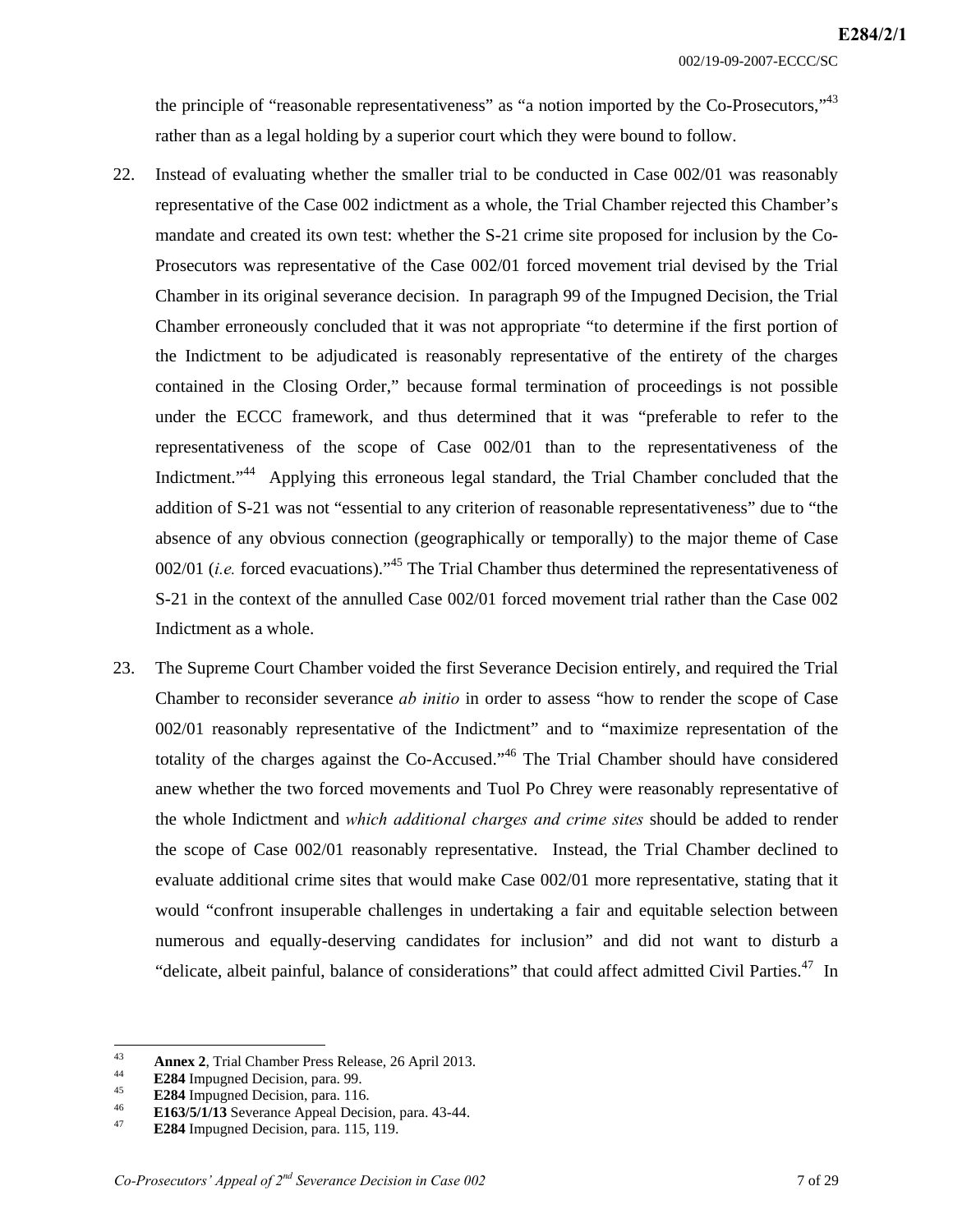002/19-09-2007-ECCC/SC

the principle of "reasonable representativeness" as "a notion imported by the  $Co\text{-}\text{Presecutors},$ " rather than as a legal holding by a superior court which they were bound to follow.

- 22. Instead of evaluating whether the smaller trial to be conducted in Case 002/01 was reasonably representative of the Case 002 indictment as a whole, the Trial Chamber rejected this Chamber's mandate and created its own test: whether the S-21 crime site proposed for inclusion by the Co-Prosecutors was representative of the Case 002/01 forced movement trial devised by the Trial Chamber in its original severance decision. In paragraph 99 of the Impugned Decision, the Trial Chamber erroneously concluded that it was not appropriate "to determine if the first portion of the Indictment to be adjudicated is reasonably representative of the entirety of the charges contained in the Closing Order," because formal termination of proceedings is not possible under the ECCC framework, and thus determined that it was "preferable to refer to the representativeness of the scope of Case 002/01 than to the representativeness of the Indictment."<sup>44</sup> Applying this erroneous legal standard, the Trial Chamber concluded that the addition of S-21 was not "essential to any criterion of reasonable representativeness" due to "the absence of any obvious connection (geographically or temporally) to the major theme of Case 002/01 (*i.e.* forced evacuations).<sup>45</sup> The Trial Chamber thus determined the representativeness of S-21 in the context of the annulled Case 002/01 forced movement trial rather than the Case 002 Indictment as a whole.
- 23. The Supreme Court Chamber voided the first Severance Decision entirely, and required the Trial Chamber to reconsider severance *ab initio* in order to assess "how to render the scope of Case 002/01 reasonably representative of the Indictment" and to "maximize representation of the totality of the charges against the Co-Accused.<sup> $,46$ </sup> The Trial Chamber should have considered anew whether the two forced movements and Tuol Po Chrey were reasonably representative of the whole Indictment and *which additional charges and crime sites* should be added to render the scope of Case 002/01 reasonably representative. Instead, the Trial Chamber declined to evaluate additional crime sites that would make Case 002/01 more representative, stating that it would "confront insuperable challenges in undertaking a fair and equitable selection between numerous and equally-deserving candidates for inclusion" and did not want to disturb a "delicate, albeit painful, balance of considerations" that could affect admitted Civil Parties.<sup>47</sup> In

<sup>43</sup> 

**Annex 2, Trial Chamber Press Release, 26 April 2013.**<br> **E284 Impugned Decision, para. 99.**<br> **E284 Impugned Decision, para. 116.**<br> **E163/5/1/13** Severance Appeal Decision, para. 43-44.<br> **E284 Impugned Decision, para. 115,**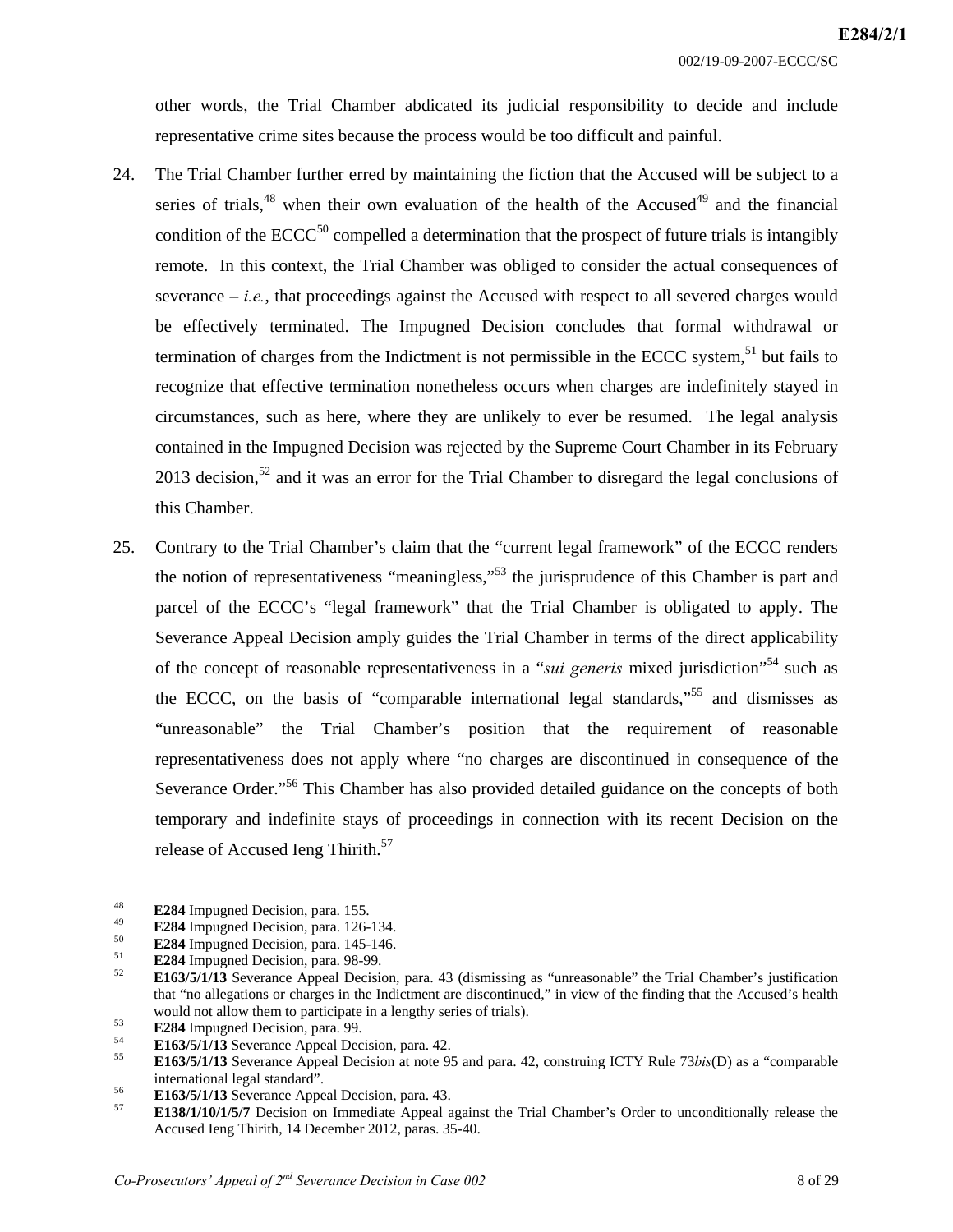other words, the Trial Chamber abdicated its judicial responsibility to decide and include representative crime sites because the process would be too difficult and painful.

- 24. The Trial Chamber further erred by maintaining the fiction that the Accused will be subject to a series of trials,  $48$  when their own evaluation of the health of the Accused  $49$  and the financial condition of the  $ECCC<sup>50</sup>$  compelled a determination that the prospect of future trials is intangibly remote. In this context, the Trial Chamber was obliged to consider the actual consequences of severance  $-i.e.,$  that proceedings against the Accused with respect to all severed charges would be effectively terminated. The Impugned Decision concludes that formal withdrawal or termination of charges from the Indictment is not permissible in the ECCC system,<sup>51</sup> but fails to recognize that effective termination nonetheless occurs when charges are indefinitely stayed in circumstances, such as here, where they are unlikely to ever be resumed. The legal analysis contained in the Impugned Decision was rejected by the Supreme Court Chamber in its February 2013 decision,<sup>52</sup> and it was an error for the Trial Chamber to disregard the legal conclusions of this Chamber.
- 25. Contrary to the Trial Chamber's claim that the "current legal framework" of the ECCC renders the notion of representativeness "meaningless,"<sup>53</sup> the jurisprudence of this Chamber is part and parcel of the ECCC's "legal framework" that the Trial Chamber is obligated to apply. The Severance Appeal Decision amply guides the Trial Chamber in terms of the direct applicability of the concept of reasonable representativeness in a "*sui generis* mixed jurisdiction"<sup>54</sup> such as the ECCC, on the basis of "comparable international legal standards,"<sup>55</sup> and dismisses as "unreasonable" the Trial Chamber's position that the requirement of reasonable representativeness does not apply where "no charges are discontinued in consequence of the Severance Order."<sup>56</sup> This Chamber has also provided detailed guidance on the concepts of both temporary and indefinite stays of proceedings in connection with its recent Decision on the release of Accused Ieng Thirith.<sup>57</sup>

<sup>48</sup> 

**E284** Impugned Decision, para. 155.<br> **E284** Impugned Decision, para. 126-134.<br> **E284** Impugned Decision, para. 145-146.<br> **E284** Impugned Decision, para. 98-99.<br> **E163/5/1/13** Severance Appeal Decision, para. 43 (dismissi that "no allegations or charges in the Indictment are discontinued," in view of the finding that the Accused's health

E284 Impugned Decision, para. 99.<br>
E163/5/1/13 Severance Appeal Decision, para. 42.<br>
E163/5/1/13 Severance Appeal Decision at note 95 and para. 42, construing ICTY Rule 73bis(D) as a "comparable international legal standard". <sup>56</sup>**E163/5/1/13** Severance Appeal Decision, para. 43. 57 **E138/1/10/1/5/7** Decision on Immediate Appeal against the Trial Chamber's Order to unconditionally release the

Accused Ieng Thirith, 14 December 2012, paras. 35-40.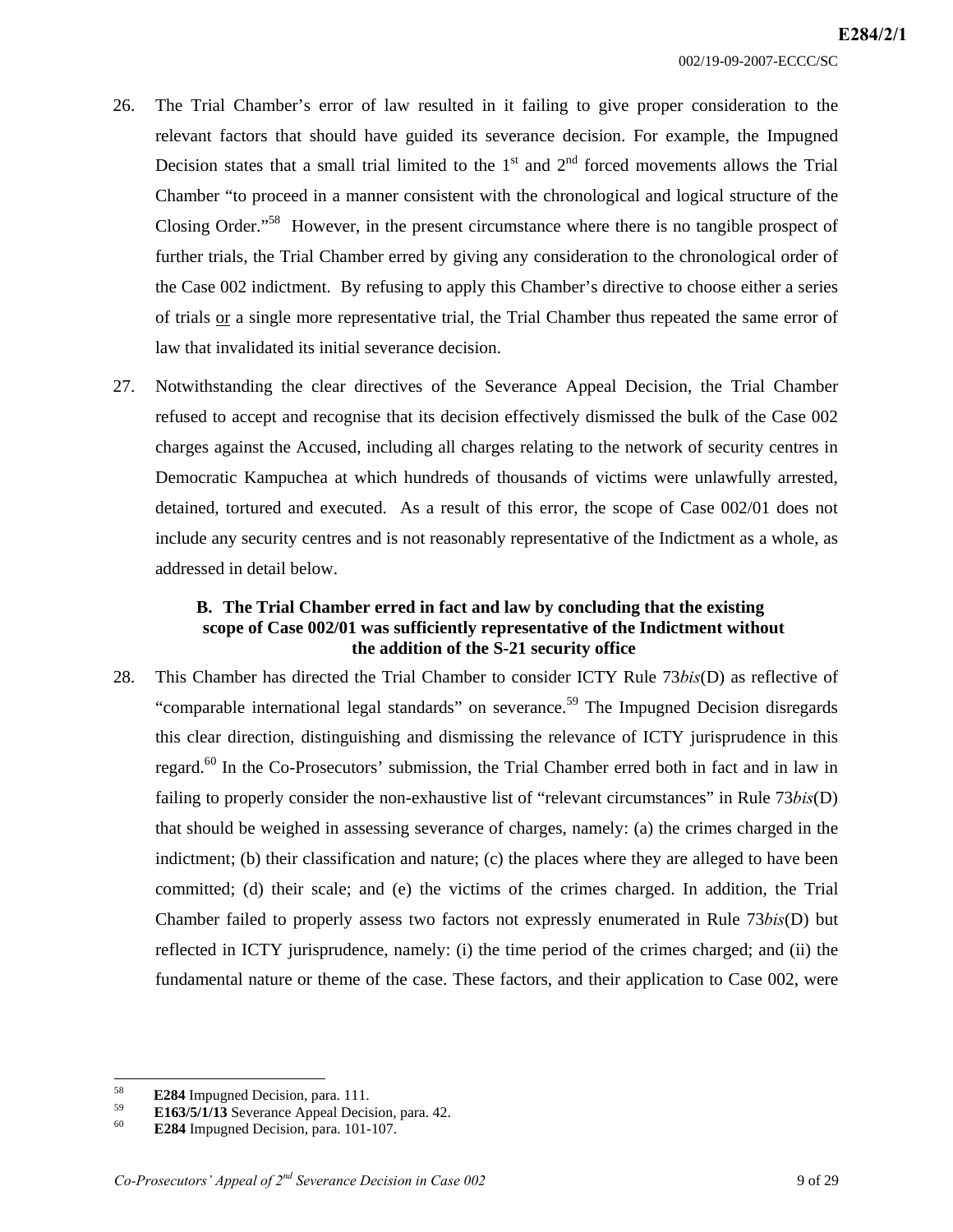- 26. The Trial Chamber's error of law resulted in it failing to give proper consideration to the relevant factors that should have guided its severance decision. For example, the Impugned Decision states that a small trial limited to the  $1<sup>st</sup>$  and  $2<sup>nd</sup>$  forced movements allows the Trial Chamber "to proceed in a manner consistent with the chronological and logical structure of the Closing Order."<sup>58</sup> However, in the present circumstance where there is no tangible prospect of further trials, the Trial Chamber erred by giving any consideration to the chronological order of the Case 002 indictment. By refusing to apply this Chamber's directive to choose either a series of trials or a single more representative trial, the Trial Chamber thus repeated the same error of law that invalidated its initial severance decision.
- 27. Notwithstanding the clear directives of the Severance Appeal Decision, the Trial Chamber refused to accept and recognise that its decision effectively dismissed the bulk of the Case 002 charges against the Accused, including all charges relating to the network of security centres in Democratic Kampuchea at which hundreds of thousands of victims were unlawfully arrested, detained, tortured and executed. As a result of this error, the scope of Case 002/01 does not include any security centres and is not reasonably representative of the Indictment as a whole, as addressed in detail below.

## **B. The Trial Chamber erred in fact and law by concluding that the existing scope of Case 002/01 was sufficiently representative of the Indictment without the addition of the S-21 security office**

28. This Chamber has directed the Trial Chamber to consider ICTY Rule 73*bis*(D) as reflective of "comparable international legal standards" on severance.<sup>59</sup> The Impugned Decision disregards this clear direction, distinguishing and dismissing the relevance of ICTY jurisprudence in this regard.<sup>60</sup> In the Co-Prosecutors' submission, the Trial Chamber erred both in fact and in law in failing to properly consider the non-exhaustive list of "relevant circumstances" in Rule 73*bis*(D) that should be weighed in assessing severance of charges, namely: (a) the crimes charged in the indictment; (b) their classification and nature; (c) the places where they are alleged to have been committed; (d) their scale; and (e) the victims of the crimes charged. In addition, the Trial Chamber failed to properly assess two factors not expressly enumerated in Rule 73*bis*(D) but reflected in ICTY jurisprudence, namely: (i) the time period of the crimes charged; and (ii) the fundamental nature or theme of the case. These factors, and their application to Case 002, were

<sup>58</sup> 

<sup>58</sup>**E284** Impugned Decision, para. 111. 59 **E163/5/1/13** Severance Appeal Decision, para. 42. 60 **E284** Impugned Decision, para. 101-107.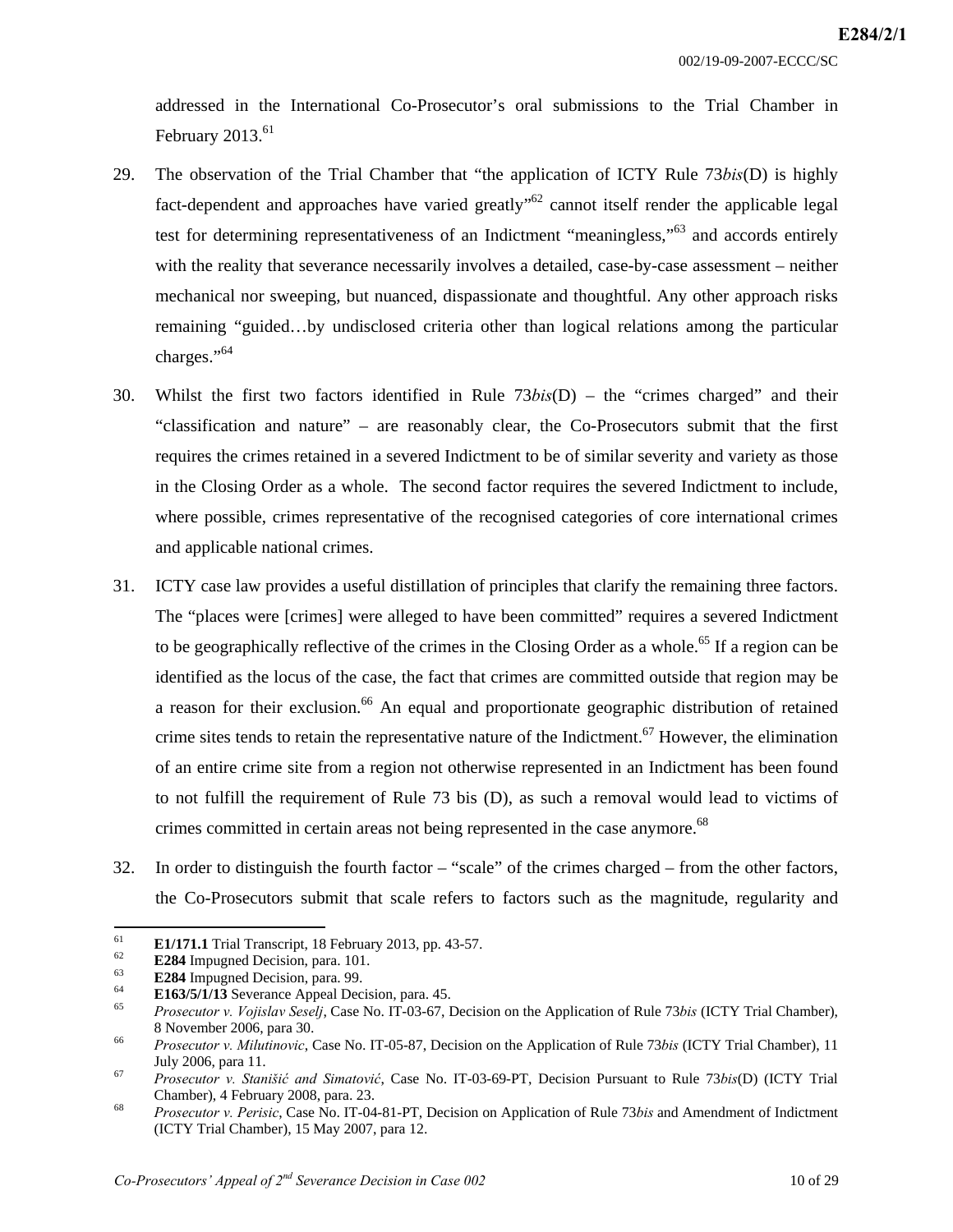002/19-09-2007-ECCC/SC

addressed in the International Co-Prosecutor's oral submissions to the Trial Chamber in February  $2013.<sup>61</sup>$ 

- 29. The observation of the Trial Chamber that "the application of ICTY Rule 73*bis*(D) is highly fact-dependent and approaches have varied greatly<sup>562</sup> cannot itself render the applicable legal test for determining representativeness of an Indictment "meaningless,"<sup>63</sup> and accords entirely with the reality that severance necessarily involves a detailed, case-by-case assessment – neither mechanical nor sweeping, but nuanced, dispassionate and thoughtful. Any other approach risks remaining "guided…by undisclosed criteria other than logical relations among the particular charges."<sup>64</sup>
- 30. Whilst the first two factors identified in Rule 73*bis*(D) the "crimes charged" and their "classification and nature" – are reasonably clear, the Co-Prosecutors submit that the first requires the crimes retained in a severed Indictment to be of similar severity and variety as those in the Closing Order as a whole. The second factor requires the severed Indictment to include, where possible, crimes representative of the recognised categories of core international crimes and applicable national crimes.
- 31. ICTY case law provides a useful distillation of principles that clarify the remaining three factors. The "places were [crimes] were alleged to have been committed" requires a severed Indictment to be geographically reflective of the crimes in the Closing Order as a whole.<sup>65</sup> If a region can be identified as the locus of the case, the fact that crimes are committed outside that region may be a reason for their exclusion.<sup>66</sup> An equal and proportionate geographic distribution of retained crime sites tends to retain the representative nature of the Indictment.<sup>67</sup> However, the elimination of an entire crime site from a region not otherwise represented in an Indictment has been found to not fulfill the requirement of Rule 73 bis (D), as such a removal would lead to victims of crimes committed in certain areas not being represented in the case anymore.<sup>68</sup>
- 32. In order to distinguish the fourth factor "scale" of the crimes charged from the other factors, the Co-Prosecutors submit that scale refers to factors such as the magnitude, regularity and

<sup>61</sup> 

E1/171.1 Trial Transcript, 18 February 2013, pp. 43-57.<br>
E284 Impugned Decision, para. 101.<br>
E284 Impugned Decision, para. 99.<br>
E163/5/1/13 Severance Appeal Decision, para. 45.<br>
Frosecutor v. Vojislav Seselj, Case No. IT-8 November 2006, para 30. 66 *Prosecutor v. Milutinovic*, Case No. IT-05-87, Decision on the Application of Rule 73*bis* (ICTY Trial Chamber), 11

July 2006, para 11. 67 *Prosecutor v. Stanišić and Simatović*, Case No. IT-03-69-PT, Decision Pursuant to Rule 73*bis*(D) (ICTY Trial

Chamber), 4 February 2008, para. 23. 68 *Prosecutor v. Perisic*, Case No. IT-04-81-PT, Decision on Application of Rule 73*bis* and Amendment of Indictment

<sup>(</sup>ICTY Trial Chamber), 15 May 2007, para 12.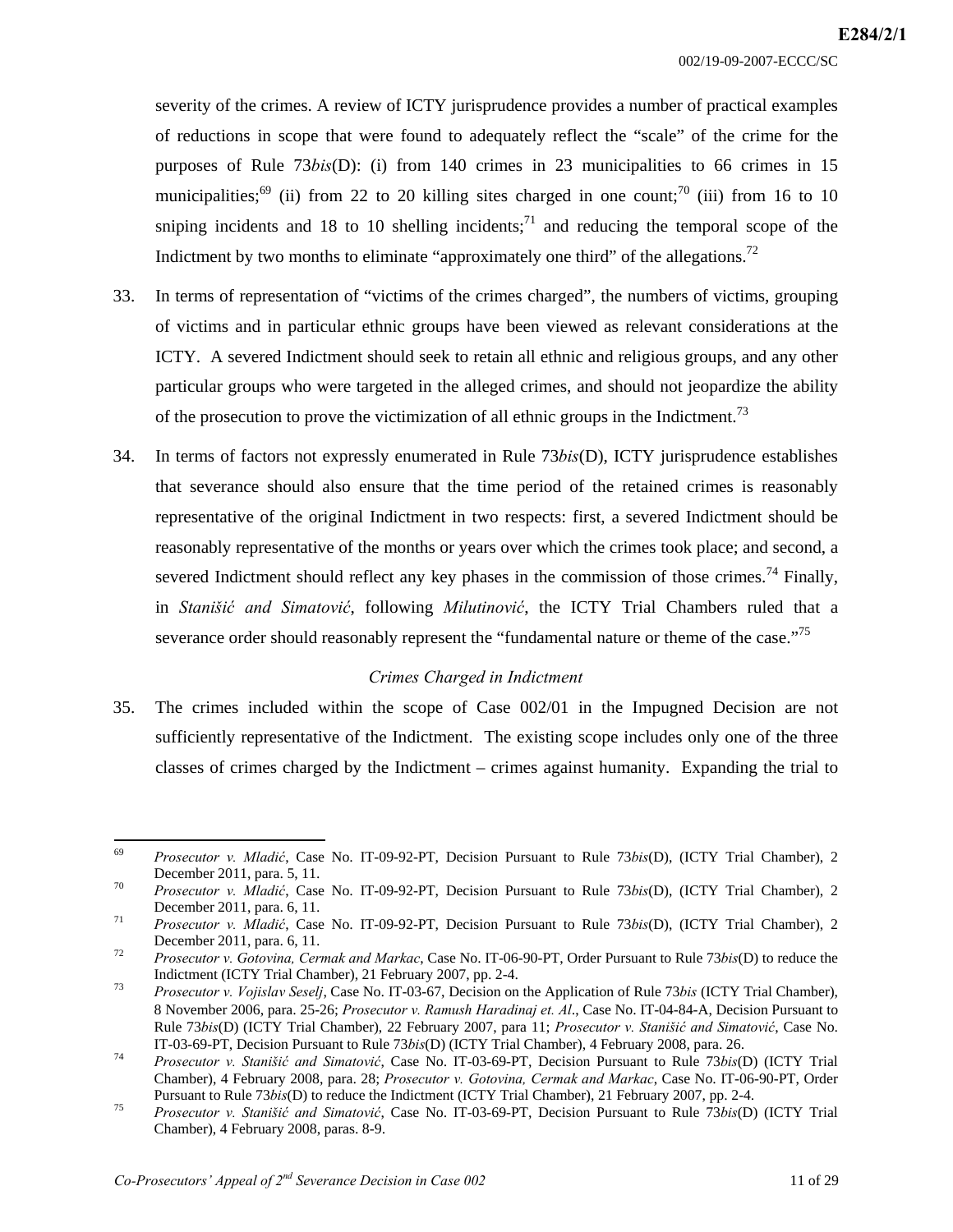002/19-09-2007-ECCC/SC

severity of the crimes. A review of ICTY jurisprudence provides a number of practical examples of reductions in scope that were found to adequately reflect the "scale" of the crime for the purposes of Rule 73*bis*(D): (i) from 140 crimes in 23 municipalities to 66 crimes in 15 municipalities;<sup>69</sup> (ii) from 22 to 20 killing sites charged in one count;<sup>70</sup> (iii) from 16 to 10 sniping incidents and 18 to 10 shelling incidents;<sup>71</sup> and reducing the temporal scope of the Indictment by two months to eliminate "approximately one third" of the allegations.<sup>72</sup>

- 33. In terms of representation of "victims of the crimes charged", the numbers of victims, grouping of victims and in particular ethnic groups have been viewed as relevant considerations at the ICTY. A severed Indictment should seek to retain all ethnic and religious groups, and any other particular groups who were targeted in the alleged crimes, and should not jeopardize the ability of the prosecution to prove the victimization of all ethnic groups in the Indictment.<sup>73</sup>
- 34. In terms of factors not expressly enumerated in Rule 73*bis*(D), ICTY jurisprudence establishes that severance should also ensure that the time period of the retained crimes is reasonably representative of the original Indictment in two respects: first, a severed Indictment should be reasonably representative of the months or years over which the crimes took place; and second, a severed Indictment should reflect any key phases in the commission of those crimes.<sup>74</sup> Finally, in *Stanišić and Simatović*, following *Milutinović*, the ICTY Trial Chambers ruled that a severance order should reasonably represent the "fundamental nature or theme of the case."<sup>75</sup>

#### *Crimes Charged in Indictment*

35. The crimes included within the scope of Case 002/01 in the Impugned Decision are not sufficiently representative of the Indictment. The existing scope includes only one of the three classes of crimes charged by the Indictment – crimes against humanity. Expanding the trial to

<sup>69</sup> 69 *Prosecutor v. Mladić*, Case No. IT-09-92-PT, Decision Pursuant to Rule 73*bis*(D), (ICTY Trial Chamber), 2 December 2011, para. 5, 11.<br><sup>70</sup> *Prosecutor v. Mladić*, Case No. IT-09-92-PT, Decision Pursuant to Rule 73*bis*(D), (ICTY Trial Chamber), 2

December 2011, para. 6, 11. 71 *Prosecutor v. Mladić*, Case No. IT-09-92-PT, Decision Pursuant to Rule 73*bis*(D), (ICTY Trial Chamber), 2

December 2011, para. 6, 11. 72 *Prosecutor v. Gotovina, Cermak and Markac*, Case No. IT-06-90-PT, Order Pursuant to Rule 73*bis*(D) to reduce the

Indictment (ICTY Trial Chamber), 21 February 2007, pp. 2-4. 73 *Prosecutor v. Vojislav Seselj*, Case No. IT-03-67, Decision on the Application of Rule 73*bis* (ICTY Trial Chamber),

<sup>8</sup> November 2006, para. 25-26; *Prosecutor v. Ramush Haradinaj et. Al*., Case No. IT-04-84-A, Decision Pursuant to Rule 73*bis*(D) (ICTY Trial Chamber), 22 February 2007, para 11; *Prosecutor v. Stanišić and Simatović*, Case No.

IT-03-69-PT, Decision Pursuant to Rule 73bis(D) (ICTY Trial Chamber), 4 February 2008, para. 26.<br>Prosecutor v. Stanišić and Simatović, Case No. IT-03-69-PT, Decision Pursuant to Rule 73bis(D) (ICTY Trial Chamber), 4 February 2008, para. 28; *Prosecutor v. Gotovina, Cermak and Markac*, Case No. IT-06-90-PT, Order

Pursuant to Rule 73bis(D) to reduce the Indictment (ICTY Trial Chamber), 21 February 2007, pp. 2-4.<br>*T*<sup>5</sup> *Prosecutor v. Stanišić and Simatović*, Case No. IT-03-69-PT, Decision Pursuant to Rule 73bis(D) (ICTY Trial Chamber), 4 February 2008, paras. 8-9.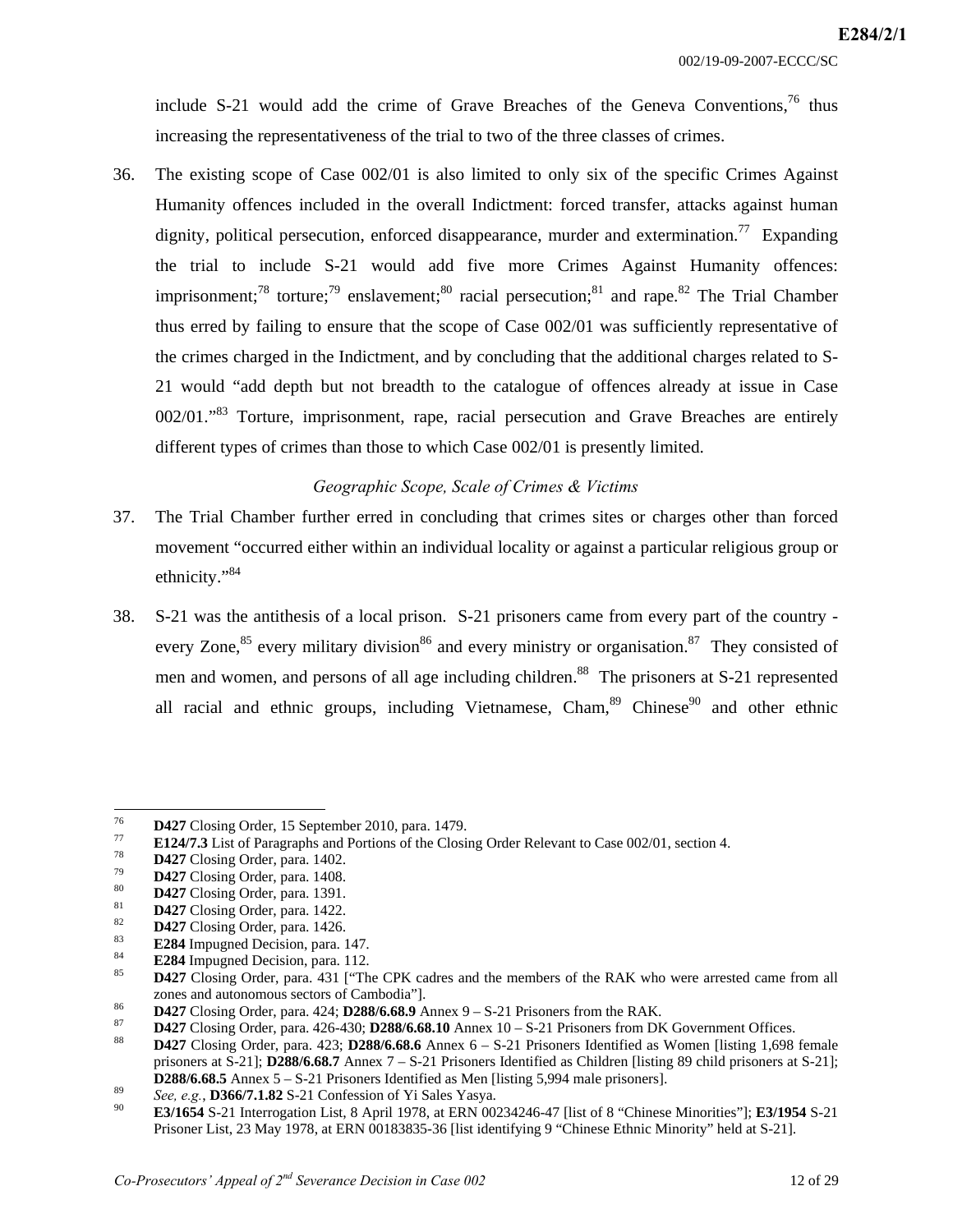include S-21 would add the crime of Grave Breaches of the Geneva Conventions,  $76$  thus increasing the representativeness of the trial to two of the three classes of crimes.

36. The existing scope of Case 002/01 is also limited to only six of the specific Crimes Against Humanity offences included in the overall Indictment: forced transfer, attacks against human dignity, political persecution, enforced disappearance, murder and extermination.<sup>77</sup> Expanding the trial to include S-21 would add five more Crimes Against Humanity offences: imprisonment;<sup>78</sup> torture;<sup>79</sup> enslavement;<sup>80</sup> racial persecution;<sup>81</sup> and rape.<sup>82</sup> The Trial Chamber thus erred by failing to ensure that the scope of Case 002/01 was sufficiently representative of the crimes charged in the Indictment, and by concluding that the additional charges related to S-21 would "add depth but not breadth to the catalogue of offences already at issue in Case 002/01."<sup>83</sup> Torture, imprisonment, rape, racial persecution and Grave Breaches are entirely different types of crimes than those to which Case 002/01 is presently limited.

## *Geographic Scope, Scale of Crimes & Victims*

- 37. The Trial Chamber further erred in concluding that crimes sites or charges other than forced movement "occurred either within an individual locality or against a particular religious group or ethnicity."84
- 38. S-21 was the antithesis of a local prison. S-21 prisoners came from every part of the country every Zone,<sup>85</sup> every military division<sup>86</sup> and every ministry or organisation.<sup>87</sup> They consisted of men and women, and persons of all age including children.<sup>88</sup> The prisoners at S-21 represented all racial and ethnic groups, including Vietnamese,  $Cham<sub>1</sub><sup>89</sup> Chinese<sup>90</sup>$  and other ethnic

<sup>76</sup> 

**D427** Closing Order, 15 September 2010, para. 1479.<br> **E124/7.3** List of Paragraphs and Portions of the Closing Order Relevant to Case 002/01, section 4.<br> **D427** Closing Order, para. 1402.<br> **D427** Closing Order, para. 140 %<br>
2012 This compose and autonomous sectors of Cambodia"].<br>
288/6.68.9 Annex 9 – S-21 Prisoners from the RAK.<br>
2427 Closing Order, para. 426-430; **D288/6.68.10** Annex 10 – S-21 Prisoners from DK Government Offices.<br>
28427

prisoners at S-21]; **D288/6.68.7** Annex 7 – S-21 Prisoners Identified as Children [listing 89 child prisoners at S-21];

**D288/6.68.5** Annex  $5 - S-21$  Prisoners Identified as Men [listing 5,994 male prisoners].<br> *See, e.g.*, **D366/7.1.82** S-21 Confession of Yi Sales Yasya.<br> **E3/1654** S-21 Interrogation List, 8 April 1978, at ERN 00234246-47 Prisoner List, 23 May 1978, at ERN 00183835-36 [list identifying 9 "Chinese Ethnic Minority" held at S-21].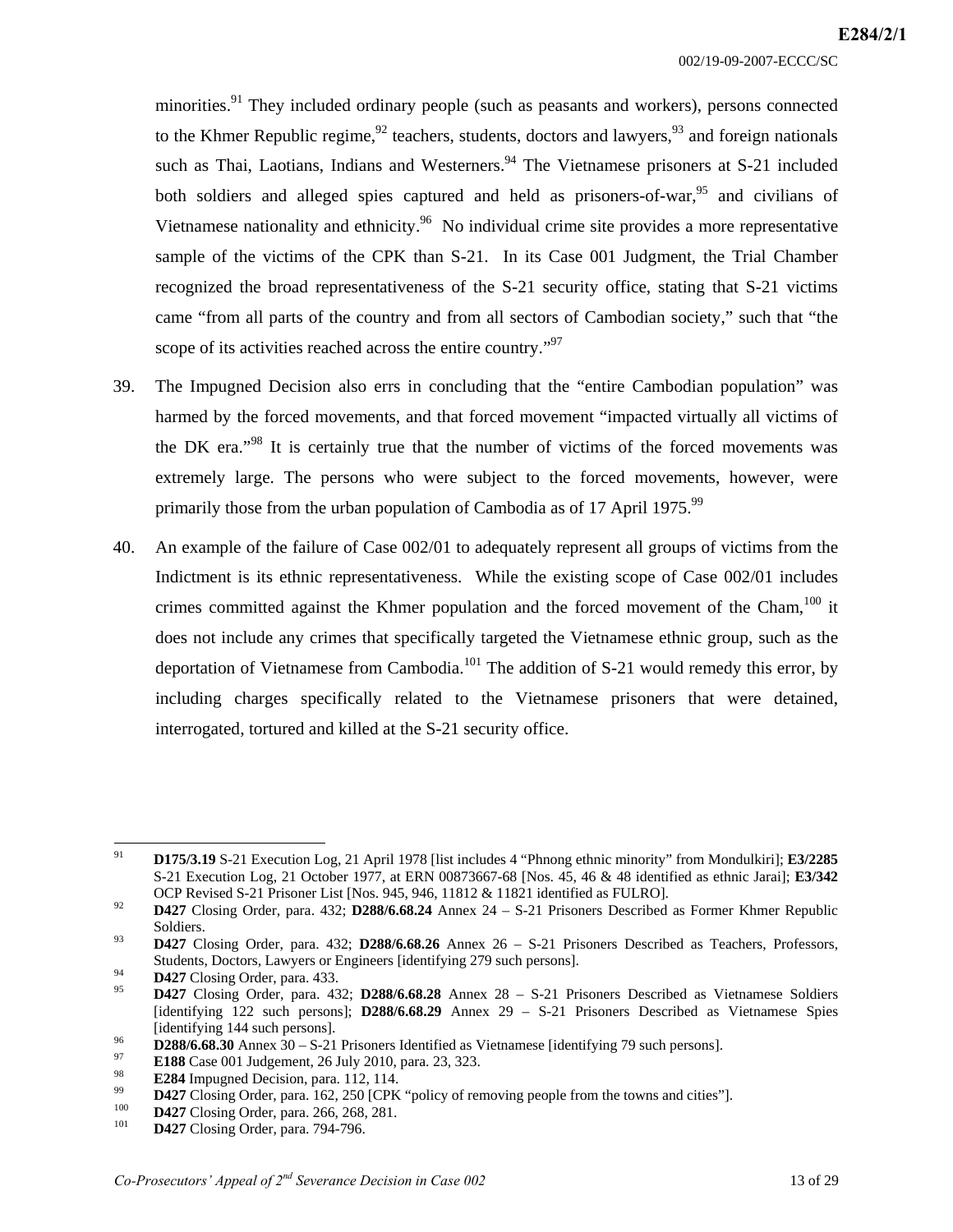minorities.<sup>91</sup> They included ordinary people (such as peasants and workers), persons connected to the Khmer Republic regime,  $92$  teachers, students, doctors and lawyers,  $93$  and foreign nationals such as Thai, Laotians, Indians and Westerners.<sup>94</sup> The Vietnamese prisoners at S-21 included both soldiers and alleged spies captured and held as prisoners-of-war,  $95$  and civilians of Vietnamese nationality and ethnicity.<sup>96</sup> No individual crime site provides a more representative sample of the victims of the CPK than S-21. In its Case 001 Judgment, the Trial Chamber recognized the broad representativeness of the S-21 security office, stating that S-21 victims came "from all parts of the country and from all sectors of Cambodian society," such that "the scope of its activities reached across the entire country."<sup>97</sup>

- 39. The Impugned Decision also errs in concluding that the "entire Cambodian population" was harmed by the forced movements, and that forced movement "impacted virtually all victims of the DK era."98 It is certainly true that the number of victims of the forced movements was extremely large. The persons who were subject to the forced movements, however, were primarily those from the urban population of Cambodia as of 17 April 1975.<sup>99</sup>
- 40. An example of the failure of Case 002/01 to adequately represent all groups of victims from the Indictment is its ethnic representativeness. While the existing scope of Case 002/01 includes crimes committed against the Khmer population and the forced movement of the Cham,<sup>100</sup> it does not include any crimes that specifically targeted the Vietnamese ethnic group, such as the deportation of Vietnamese from Cambodia.<sup>101</sup> The addition of S-21 would remedy this error, by including charges specifically related to the Vietnamese prisoners that were detained, interrogated, tortured and killed at the S-21 security office.

<sup>91</sup> 91 **D175/3.19** S-21 Execution Log, 21 April 1978 [list includes 4 "Phnong ethnic minority" from Mondulkiri]; **E3/2285** S-21 Execution Log, 21 October 1977, at ERN 00873667-68 [Nos. 45, 46 & 48 identified as ethnic Jarai]; **E3/342** OCP Revised S-21 Prisoner List [Nos. 945, 946, 11812 & 11821 identified as FULRO]. 92 **D427** Closing Order, para. 432; **D288/6.68.24** Annex 24 – S-21 Prisoners Described as Former Khmer Republic

Soldiers. 93 **D427** Closing Order, para. 432; **D288/6.68.26** Annex 26 – S-21 Prisoners Described as Teachers, Professors,

Students, Doctors, Lawyers or Engineers [identifying 279 such persons].<br> **D427** Closing Order, para. 433.<br> **D427** Closing Order, para. 432; **D288/6.68.28** Annex 28 – S-21 Prisoners Described as Vietnamese Soldiers

<sup>[</sup>identifying 122 such persons]; **D288/6.68.29** Annex 29 – S-21 Prisoners Described as Vietnamese Spies

<sup>96&</sup>lt;br> **D288/6.68.30** Annex 30 – S-21 Prisoners Identified as Vietnamese [identifying 79 such persons].<br> **E188** Case 001 Judgement, 26 July 2010, para. 23, 323.<br> **E284** Impugned Decision, para. 112, 114.<br> **D427** Closing Orde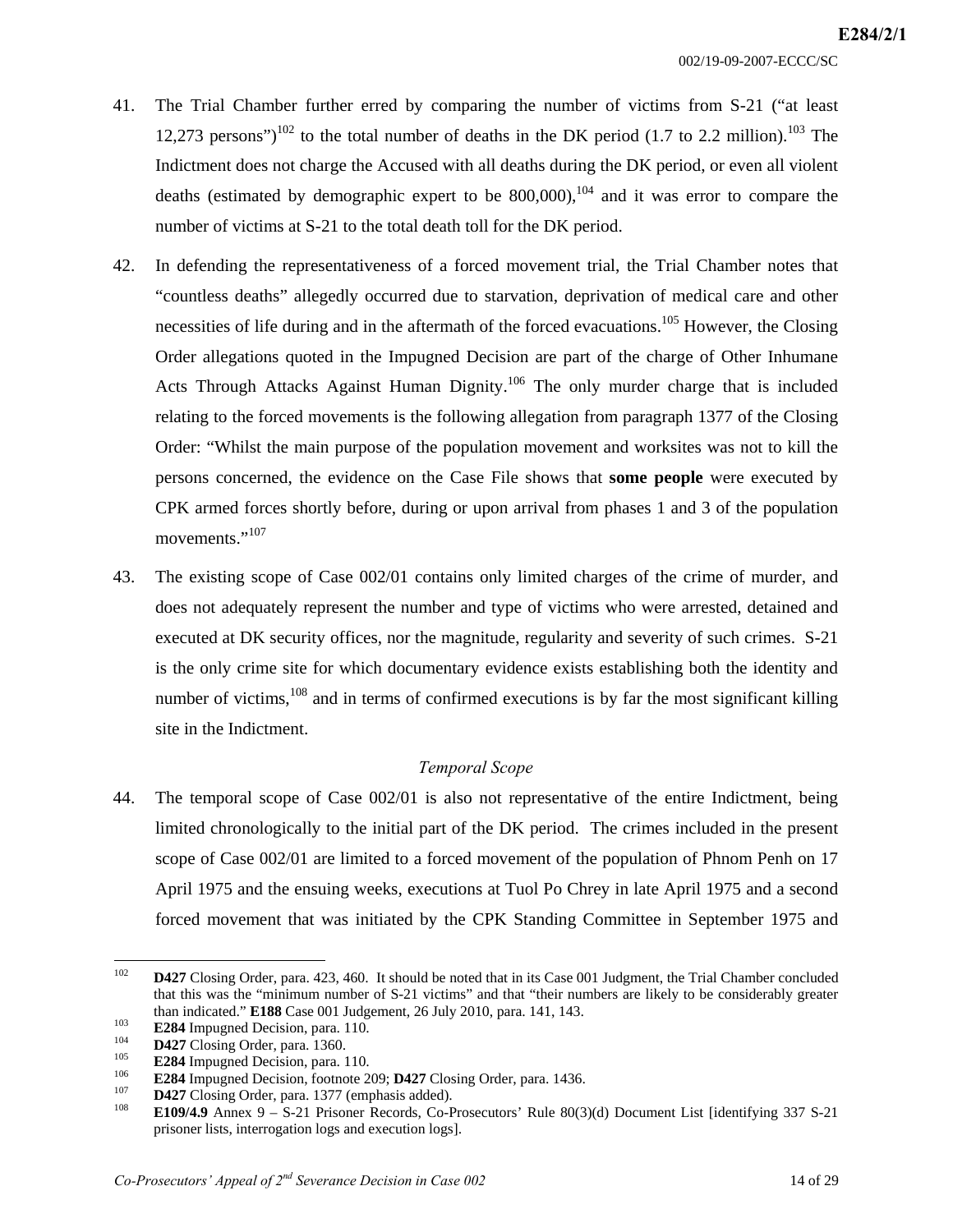- 41. The Trial Chamber further erred by comparing the number of victims from S-21 ("at least 12,273 persons")<sup>102</sup> to the total number of deaths in the DK period (1.7 to 2.2 million).<sup>103</sup> The Indictment does not charge the Accused with all deaths during the DK period, or even all violent deaths (estimated by demographic expert to be  $800,000$ ),<sup>104</sup> and it was error to compare the number of victims at S-21 to the total death toll for the DK period.
- 42. In defending the representativeness of a forced movement trial, the Trial Chamber notes that "countless deaths" allegedly occurred due to starvation, deprivation of medical care and other necessities of life during and in the aftermath of the forced evacuations.<sup>105</sup> However, the Closing Order allegations quoted in the Impugned Decision are part of the charge of Other Inhumane Acts Through Attacks Against Human Dignity.<sup>106</sup> The only murder charge that is included relating to the forced movements is the following allegation from paragraph 1377 of the Closing Order: "Whilst the main purpose of the population movement and worksites was not to kill the persons concerned, the evidence on the Case File shows that **some people** were executed by CPK armed forces shortly before, during or upon arrival from phases 1 and 3 of the population movements."<sup>107</sup>
- 43. The existing scope of Case 002/01 contains only limited charges of the crime of murder, and does not adequately represent the number and type of victims who were arrested, detained and executed at DK security offices, nor the magnitude, regularity and severity of such crimes. S-21 is the only crime site for which documentary evidence exists establishing both the identity and number of victims,  $108$  and in terms of confirmed executions is by far the most significant killing site in the Indictment.

#### *Temporal Scope*

44. The temporal scope of Case 002/01 is also not representative of the entire Indictment, being limited chronologically to the initial part of the DK period. The crimes included in the present scope of Case 002/01 are limited to a forced movement of the population of Phnom Penh on 17 April 1975 and the ensuing weeks, executions at Tuol Po Chrey in late April 1975 and a second forced movement that was initiated by the CPK Standing Committee in September 1975 and

<sup>102</sup> 102 **D427** Closing Order, para. 423, 460. It should be noted that in its Case 001 Judgment, the Trial Chamber concluded that this was the "minimum number of S-21 victims" and that "their numbers are likely to be considerably greater than indicated." **E188** Case 001 Judgement, 26 July 2010, para. 141, 143.<br> **E284** Impugned Decision, para. 110.<br> **D427** Closing Order, para. 1360.<br> **E284** Impugned Decision, para. 110.<br> **E284** Impugned Decision, footnote

prisoner lists, interrogation logs and execution logs].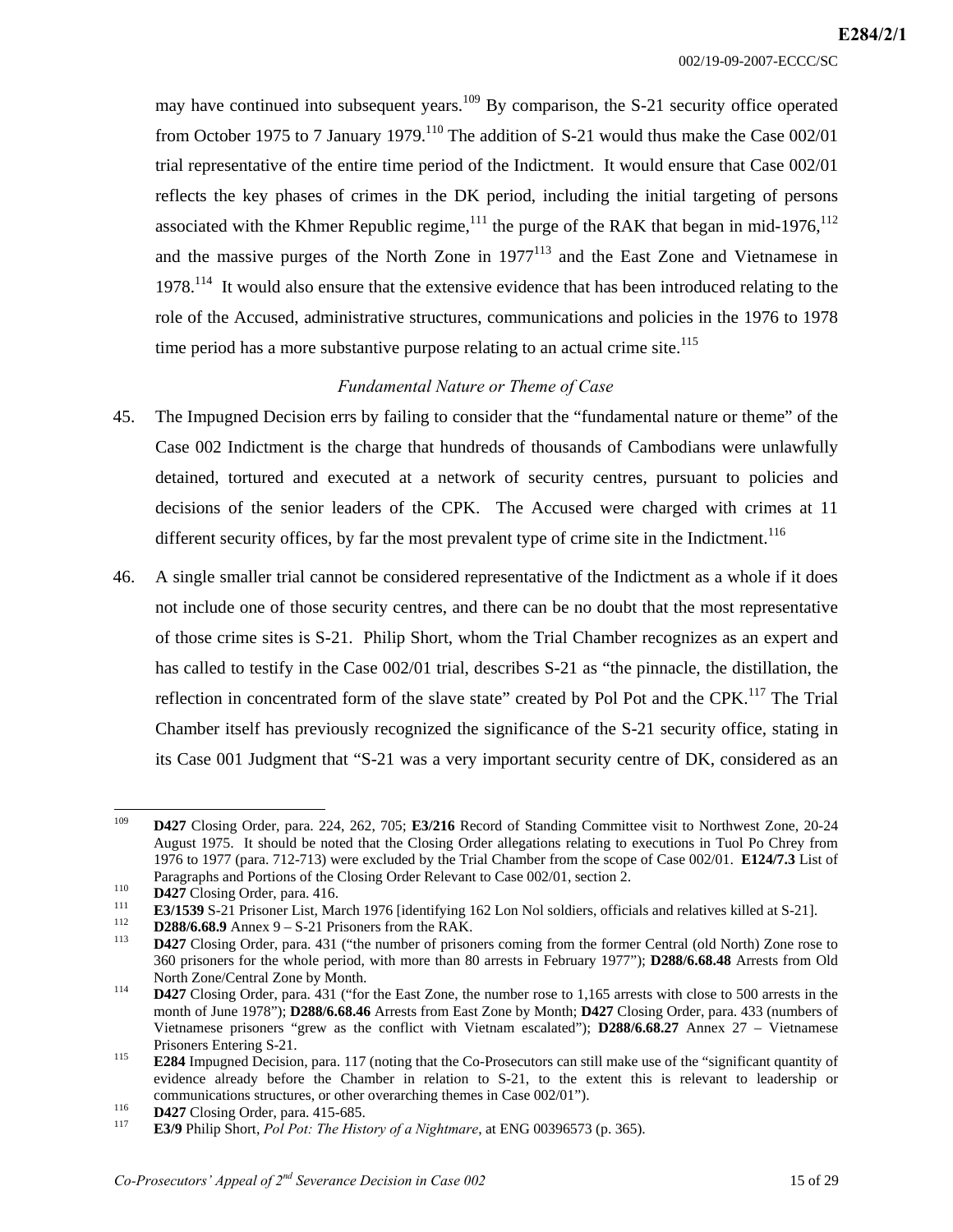may have continued into subsequent years.<sup>109</sup> By comparison, the S-21 security office operated from October 1975 to 7 January 1979.<sup>110</sup> The addition of S-21 would thus make the Case 002/01 trial representative of the entire time period of the Indictment. It would ensure that Case 002/01 reflects the key phases of crimes in the DK period, including the initial targeting of persons associated with the Khmer Republic regime,<sup>111</sup> the purge of the RAK that began in mid-1976,<sup>112</sup> and the massive purges of the North Zone in  $1977^{113}$  and the East Zone and Vietnamese in  $1978<sup>114</sup>$  It would also ensure that the extensive evidence that has been introduced relating to the role of the Accused, administrative structures, communications and policies in the 1976 to 1978 time period has a more substantive purpose relating to an actual crime site.<sup>115</sup>

## *Fundamental Nature or Theme of Case*

- 45. The Impugned Decision errs by failing to consider that the "fundamental nature or theme" of the Case 002 Indictment is the charge that hundreds of thousands of Cambodians were unlawfully detained, tortured and executed at a network of security centres, pursuant to policies and decisions of the senior leaders of the CPK. The Accused were charged with crimes at 11 different security offices, by far the most prevalent type of crime site in the Indictment.<sup>116</sup>
- 46. A single smaller trial cannot be considered representative of the Indictment as a whole if it does not include one of those security centres, and there can be no doubt that the most representative of those crime sites is S-21. Philip Short, whom the Trial Chamber recognizes as an expert and has called to testify in the Case 002/01 trial, describes S-21 as "the pinnacle, the distillation, the reflection in concentrated form of the slave state" created by Pol Pot and the CPK.<sup>117</sup> The Trial Chamber itself has previously recognized the significance of the S-21 security office, stating in its Case 001 Judgment that "S-21 was a very important security centre of DK, considered as an

<sup>109</sup> 109 **D427** Closing Order, para. 224, 262, 705; **E3/216** Record of Standing Committee visit to Northwest Zone, 20-24 August 1975. It should be noted that the Closing Order allegations relating to executions in Tuol Po Chrey from 1976 to 1977 (para. 712-713) were excluded by the Trial Chamber from the scope of Case 002/01. **E124/7.3** List of Paragraphs and Portions of the Closing Order Relevant to Case 002/01, section 2.<br> **D427** Closing Order, para. 416.<br> **E3/1539** S-21 Prisoner List, March 1976 [identifying 162 Lon Nol soldiers, officials and relatives killed

<sup>360</sup> prisoners for the whole period, with more than 80 arrests in February 1977"); **D288/6.68.48** Arrests from Old North Zone/Central Zone by Month.<br>
114 **D427** Closing Order, para. 431 ("for the East Zone, the number rose to 1,165 arrests with close to 500 arrests in the

month of June 1978"); **D288/6.68.46** Arrests from East Zone by Month; **D427** Closing Order, para. 433 (numbers of Vietnamese prisoners "grew as the conflict with Vietnam escalated"); **D288/6.68.27** Annex 27 – Vietnamese

Prisoners Entering S-21.<br>**E284** Impugned Decision, para. 117 (noting that the Co-Prosecutors can still make use of the "significant quantity of evidence already before the Chamber in relation to S-21, to the extent this is relevant to leadership or communications structures, or other overarching themes in Case 002/01").

**D427** Closing Order, para. 415-685.<br><sup>117</sup> **E3/9** Philip Short, *Pol Pot: The History of a Nightmare*, at ENG 00396573 (p. 365).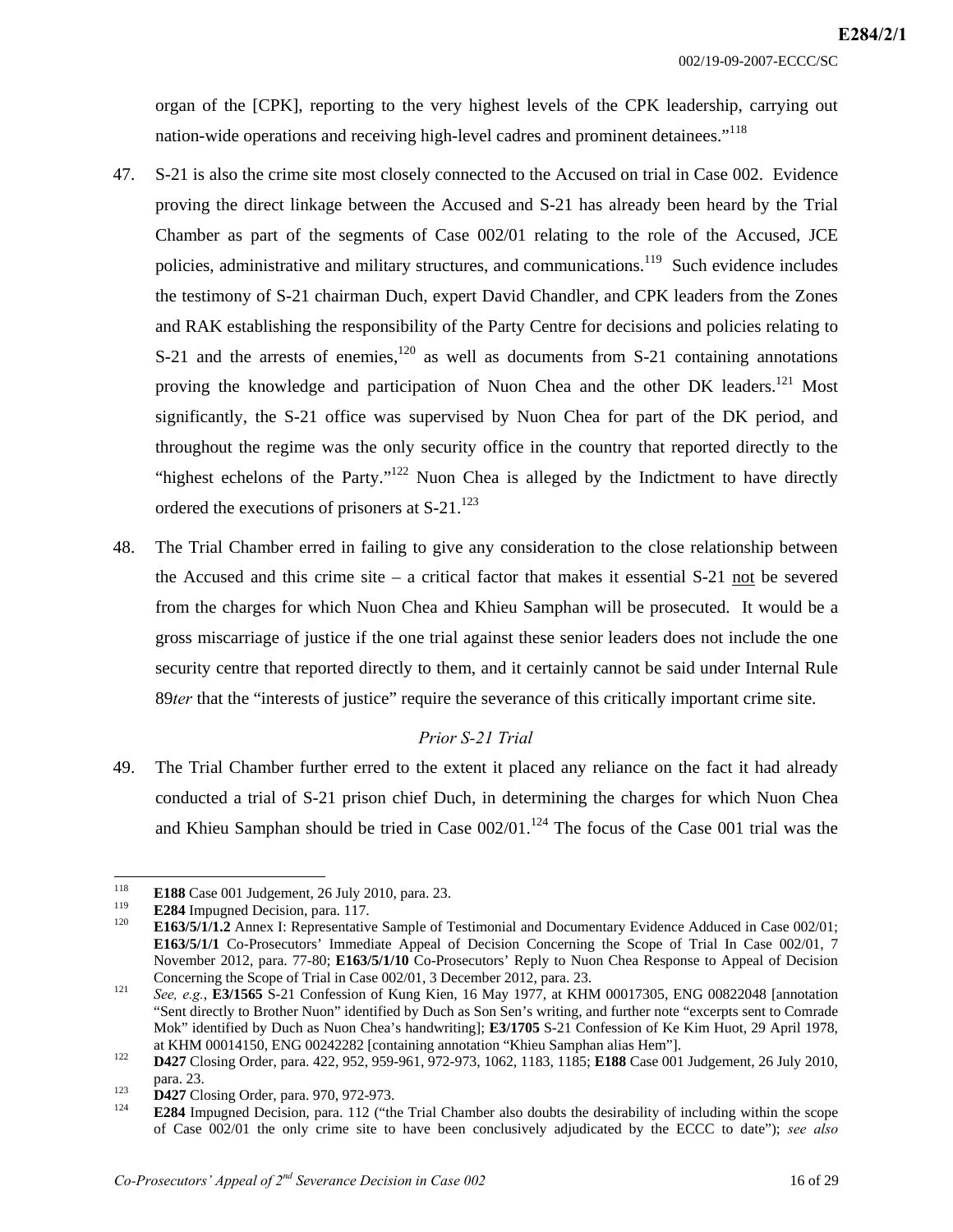organ of the [CPK], reporting to the very highest levels of the CPK leadership, carrying out nation-wide operations and receiving high-level cadres and prominent detainees."<sup>118</sup>

- 47. S-21 is also the crime site most closely connected to the Accused on trial in Case 002. Evidence proving the direct linkage between the Accused and S-21 has already been heard by the Trial Chamber as part of the segments of Case 002/01 relating to the role of the Accused, JCE policies, administrative and military structures, and communications.<sup>119</sup> Such evidence includes the testimony of S-21 chairman Duch, expert David Chandler, and CPK leaders from the Zones and RAK establishing the responsibility of the Party Centre for decisions and policies relating to S-21 and the arrests of enemies,<sup>120</sup> as well as documents from S-21 containing annotations proving the knowledge and participation of Nuon Chea and the other DK leaders.<sup>121</sup> Most significantly, the S-21 office was supervised by Nuon Chea for part of the DK period, and throughout the regime was the only security office in the country that reported directly to the "highest echelons of the Party."<sup>122</sup> Nuon Chea is alleged by the Indictment to have directly ordered the executions of prisoners at  $S-21$ .<sup>123</sup>
- 48. The Trial Chamber erred in failing to give any consideration to the close relationship between the Accused and this crime site – a critical factor that makes it essential S-21 not be severed from the charges for which Nuon Chea and Khieu Samphan will be prosecuted. It would be a gross miscarriage of justice if the one trial against these senior leaders does not include the one security centre that reported directly to them, and it certainly cannot be said under Internal Rule 89*ter* that the "interests of justice" require the severance of this critically important crime site.

#### *Prior S-21 Trial*

49. The Trial Chamber further erred to the extent it placed any reliance on the fact it had already conducted a trial of S-21 prison chief Duch, in determining the charges for which Nuon Chea and Khieu Samphan should be tried in Case  $002/01$ .<sup>124</sup> The focus of the Case 001 trial was the

<sup>118</sup> 

<sup>118</sup>**E188** Case 001 Judgement, 26 July 2010, para. 23. 119 **E284** Impugned Decision, para. 117. 120 **E163/5/1/1.2** Annex I: Representative Sample of Testimonial and Documentary Evidence Adduced in Case 002/01; **E163/5/1/1** Co-Prosecutors' Immediate Appeal of Decision Concerning the Scope of Trial In Case 002/01, 7 November 2012, para. 77-80; **E163/5/1/10** Co-Prosecutors' Reply to Nuon Chea Response to Appeal of Decision

Concerning the Scope of Trial in Case 002/01, 3 December 2012, para. 23.<br><sup>121</sup> *See, e.g.*, **E3/1565** S-21 Confession of Kung Kien, 16 May 1977, at KHM 00017305, ENG 00822048 [annotation "Sent directly to Brother Nuon" identified by Duch as Son Sen's writing, and further note "excerpts sent to Comrade Mok" identified by Duch as Nuon Chea's handwriting]; **E3/1705** S-21 Confession of Ke Kim Huot, 29 April 1978, at KHM 00014150, ENG 00242282 [containing annotation "Khieu Samphan alias Hem"]. 122 **D427** Closing Order, para. 422, 952, 959-961, 972-973, 1062, 1183, 1185; **E188** Case 001 Judgement, 26 July 2010,

para. 23.<br>**D427** Closing Order, para. 970, 972-973.<br><sup>124</sup> **E284** Impugned Decision, para. 112 ("the Trial Chamber also doubts the desirability of including within the scope of Case 002/01 the only crime site to have been conclusively adjudicated by the ECCC to date"); *see also*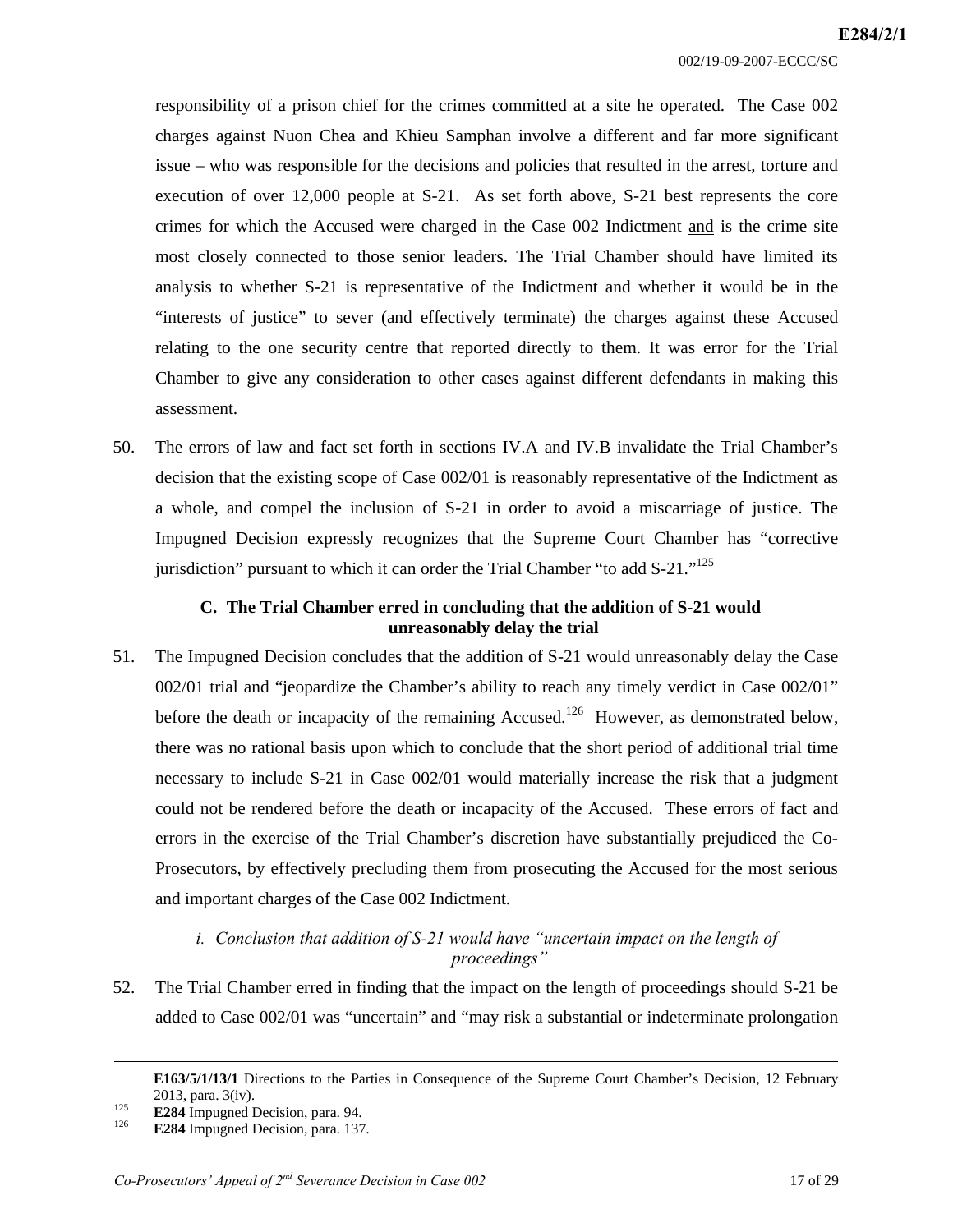responsibility of a prison chief for the crimes committed at a site he operated. The Case 002 charges against Nuon Chea and Khieu Samphan involve a different and far more significant issue – who was responsible for the decisions and policies that resulted in the arrest, torture and execution of over 12,000 people at S-21. As set forth above, S-21 best represents the core crimes for which the Accused were charged in the Case 002 Indictment and is the crime site most closely connected to those senior leaders. The Trial Chamber should have limited its analysis to whether S-21 is representative of the Indictment and whether it would be in the "interests of justice" to sever (and effectively terminate) the charges against these Accused relating to the one security centre that reported directly to them. It was error for the Trial Chamber to give any consideration to other cases against different defendants in making this assessment.

50. The errors of law and fact set forth in sections IV.A and IV.B invalidate the Trial Chamber's decision that the existing scope of Case 002/01 is reasonably representative of the Indictment as a whole, and compel the inclusion of S-21 in order to avoid a miscarriage of justice. The Impugned Decision expressly recognizes that the Supreme Court Chamber has "corrective jurisdiction" pursuant to which it can order the Trial Chamber "to add S-21."<sup>125</sup>

## **C. The Trial Chamber erred in concluding that the addition of S-21 would unreasonably delay the trial**

51. The Impugned Decision concludes that the addition of S-21 would unreasonably delay the Case 002/01 trial and "jeopardize the Chamber's ability to reach any timely verdict in Case 002/01" before the death or incapacity of the remaining Accused.<sup>126</sup> However, as demonstrated below, there was no rational basis upon which to conclude that the short period of additional trial time necessary to include S-21 in Case 002/01 would materially increase the risk that a judgment could not be rendered before the death or incapacity of the Accused. These errors of fact and errors in the exercise of the Trial Chamber's discretion have substantially prejudiced the Co-Prosecutors, by effectively precluding them from prosecuting the Accused for the most serious and important charges of the Case 002 Indictment.

# *i. Conclusion that addition of S-21 would have "uncertain impact on the length of proceedings"*

52. The Trial Chamber erred in finding that the impact on the length of proceedings should S-21 be added to Case 002/01 was "uncertain" and "may risk a substantial or indeterminate prolongation

-

**E163/5/1/13/1** Directions to the Parties in Consequence of the Supreme Court Chamber's Decision, 12 February

<sup>2013,</sup> para. 3(iv).<br> **E284** Impugned Decision, para. 94.<br> **E284** Impugned Decision, para. 137.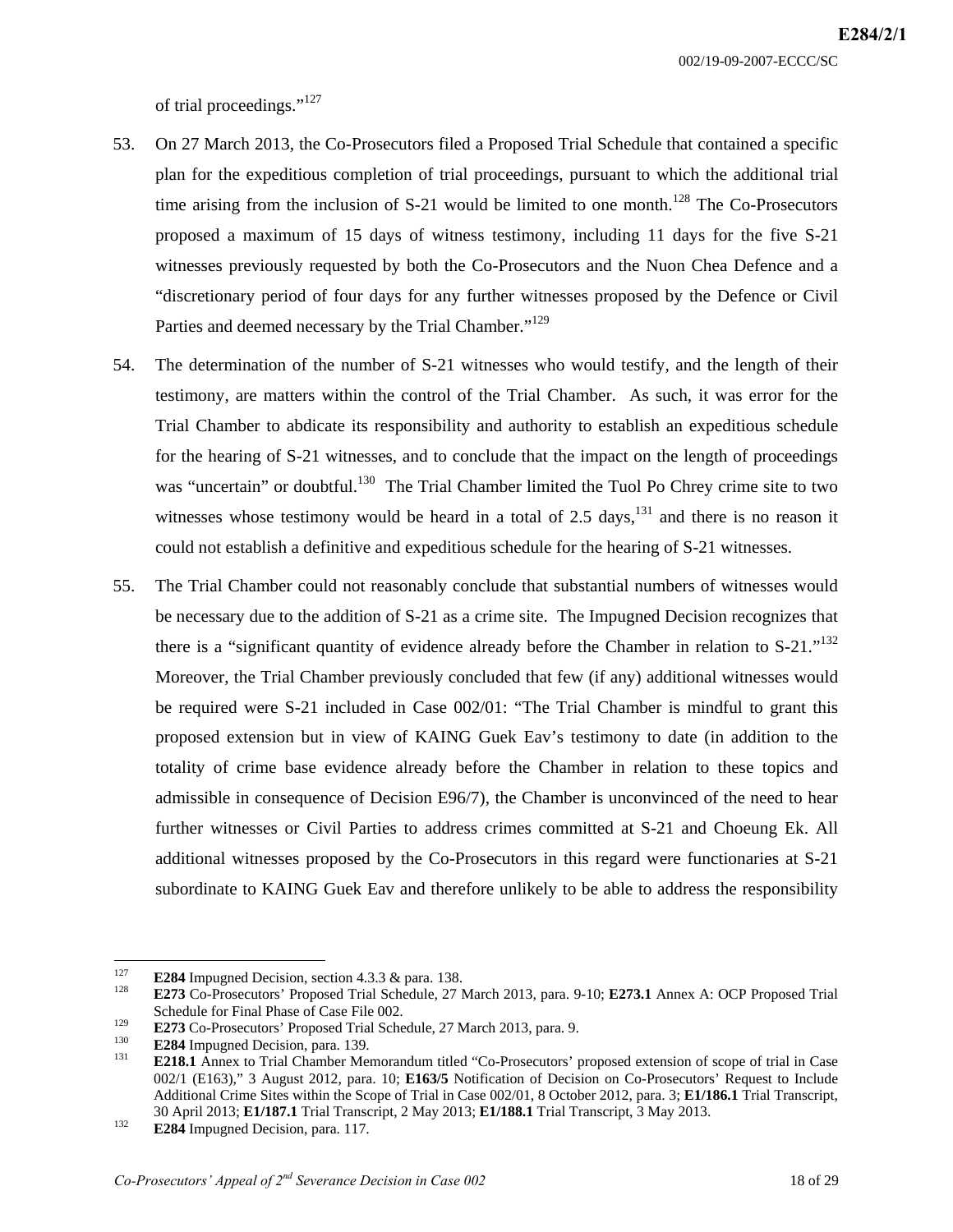of trial proceedings."<sup>127</sup>

- 53. On 27 March 2013, the Co-Prosecutors filed a Proposed Trial Schedule that contained a specific plan for the expeditious completion of trial proceedings, pursuant to which the additional trial time arising from the inclusion of  $S-21$  would be limited to one month.<sup>128</sup> The Co-Prosecutors proposed a maximum of 15 days of witness testimony, including 11 days for the five S-21 witnesses previously requested by both the Co-Prosecutors and the Nuon Chea Defence and a "discretionary period of four days for any further witnesses proposed by the Defence or Civil Parties and deemed necessary by the Trial Chamber."<sup>129</sup>
- 54. The determination of the number of S-21 witnesses who would testify, and the length of their testimony, are matters within the control of the Trial Chamber. As such, it was error for the Trial Chamber to abdicate its responsibility and authority to establish an expeditious schedule for the hearing of S-21 witnesses, and to conclude that the impact on the length of proceedings was "uncertain" or doubtful.<sup>130</sup> The Trial Chamber limited the Tuol Po Chrey crime site to two witnesses whose testimony would be heard in a total of 2.5 days,  $^{131}$  and there is no reason it could not establish a definitive and expeditious schedule for the hearing of S-21 witnesses.
- 55. The Trial Chamber could not reasonably conclude that substantial numbers of witnesses would be necessary due to the addition of S-21 as a crime site. The Impugned Decision recognizes that there is a "significant quantity of evidence already before the Chamber in relation to  $S-21$ ."<sup>132</sup> Moreover, the Trial Chamber previously concluded that few (if any) additional witnesses would be required were S-21 included in Case 002/01: "The Trial Chamber is mindful to grant this proposed extension but in view of KAING Guek Eav's testimony to date (in addition to the totality of crime base evidence already before the Chamber in relation to these topics and admissible in consequence of Decision E96/7), the Chamber is unconvinced of the need to hear further witnesses or Civil Parties to address crimes committed at S-21 and Choeung Ek. All additional witnesses proposed by the Co-Prosecutors in this regard were functionaries at S-21 subordinate to KAING Guek Eav and therefore unlikely to be able to address the responsibility

<sup>127</sup> 

E284 Impugned Decision, section 4.3.3 & para. 138.<br>
128 **E273** Co-Prosecutors' Proposed Trial Schedule, 27 March 2013, para. 9-10; **E273.1** Annex A: OCP Proposed Trial Schedule for Final Phase of Case File 002.

E273 Co-Prosecutors' Proposed Trial Schedule, 27 March 2013, para. 9.<br> **E284** Impugned Decision, para. 139.<br> **E218.1** Annex to Trial Chamber Memorandum titled "Co-Prosecutors' proposed extension of scope of trial in Case 002/1 (E163)," 3 August 2012, para. 10; **E163/5** Notification of Decision on Co-Prosecutors' Request to Include Additional Crime Sites within the Scope of Trial in Case 002/01, 8 October 2012, para. 3; **E1/186.1** Trial Transcript, 30 April 2013; **E1/187.1** Trial Transcript, 2 May 2013; **E1/188.1** Trial Transcript, 3 May 2013. 132 **E284** Impugned Decision, para. 117.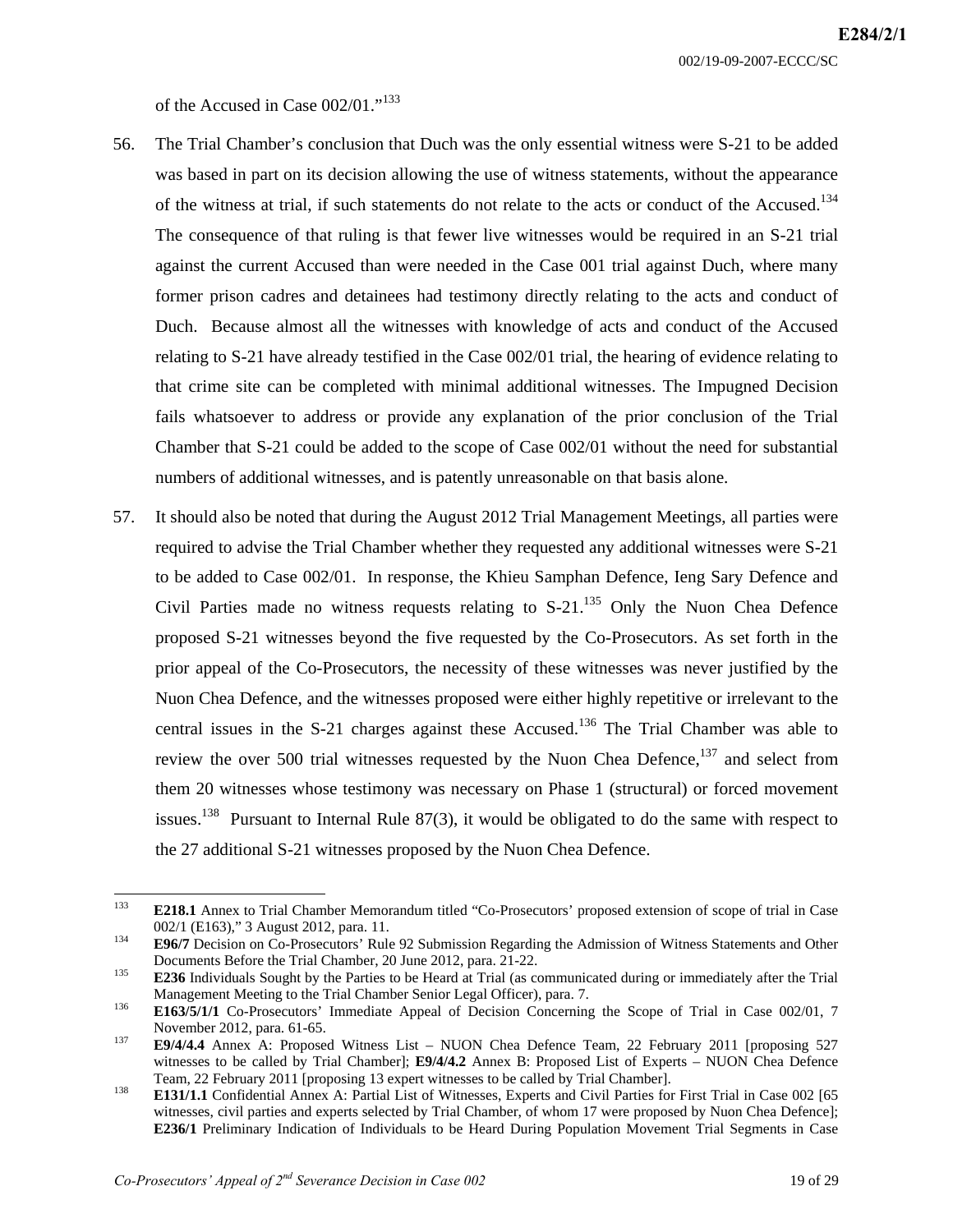002/19-09-2007-ECCC/SC

of the Accused in Case 002/01."133

- 56. The Trial Chamber's conclusion that Duch was the only essential witness were S-21 to be added was based in part on its decision allowing the use of witness statements, without the appearance of the witness at trial, if such statements do not relate to the acts or conduct of the Accused.<sup>134</sup> The consequence of that ruling is that fewer live witnesses would be required in an S-21 trial against the current Accused than were needed in the Case 001 trial against Duch, where many former prison cadres and detainees had testimony directly relating to the acts and conduct of Duch. Because almost all the witnesses with knowledge of acts and conduct of the Accused relating to S-21 have already testified in the Case 002/01 trial, the hearing of evidence relating to that crime site can be completed with minimal additional witnesses. The Impugned Decision fails whatsoever to address or provide any explanation of the prior conclusion of the Trial Chamber that S-21 could be added to the scope of Case 002/01 without the need for substantial numbers of additional witnesses, and is patently unreasonable on that basis alone.
- 57. It should also be noted that during the August 2012 Trial Management Meetings, all parties were required to advise the Trial Chamber whether they requested any additional witnesses were S-21 to be added to Case 002/01. In response, the Khieu Samphan Defence, Ieng Sary Defence and Civil Parties made no witness requests relating to S-21.<sup>135</sup> Only the Nuon Chea Defence proposed S-21 witnesses beyond the five requested by the Co-Prosecutors. As set forth in the prior appeal of the Co-Prosecutors, the necessity of these witnesses was never justified by the Nuon Chea Defence, and the witnesses proposed were either highly repetitive or irrelevant to the central issues in the S-21 charges against these Accused.<sup>136</sup> The Trial Chamber was able to review the over 500 trial witnesses requested by the Nuon Chea Defence, $137$  and select from them 20 witnesses whose testimony was necessary on Phase 1 (structural) or forced movement issues.<sup>138</sup> Pursuant to Internal Rule 87(3), it would be obligated to do the same with respect to the 27 additional S-21 witnesses proposed by the Nuon Chea Defence.

 $133$ 133 **E218.1** Annex to Trial Chamber Memorandum titled "Co-Prosecutors' proposed extension of scope of trial in Case 002/1 (E163)," 3 August 2012, para. 11. 134 **E96/7** Decision on Co-Prosecutors' Rule 92 Submission Regarding the Admission of Witness Statements and Other

Documents Before the Trial Chamber, 20 June 2012, para. 21-22.<br>135 **E236** Individuals Sought by the Parties to be Heard at Trial (as communicated during or immediately after the Trial

Management Meeting to the Trial Chamber Senior Legal Officer), para. 7.<br>**E163/5/1/1** Co-Prosecutors' Immediate Appeal of Decision Concerning the Scope of Trial in Case 002/01, 7

November 2012, para. 61-65.<br>**E9/4/4.4** Annex A: Proposed Witness List – NUON Chea Defence Team, 22 February 2011 [proposing 527

witnesses to be called by Trial Chamber]; **E9/4/4.2** Annex B: Proposed List of Experts – NUON Chea Defence

Team, 22 February 2011 [proposing 13 expert witnesses to be called by Trial Chamber].<br>**138 E131/1.1** Confidential Annex A: Partial List of Witnesses, Experts and Civil Parties for First Trial in Case 002 [65 witnesses, civil parties and experts selected by Trial Chamber, of whom 17 were proposed by Nuon Chea Defence]; **E236/1** Preliminary Indication of Individuals to be Heard During Population Movement Trial Segments in Case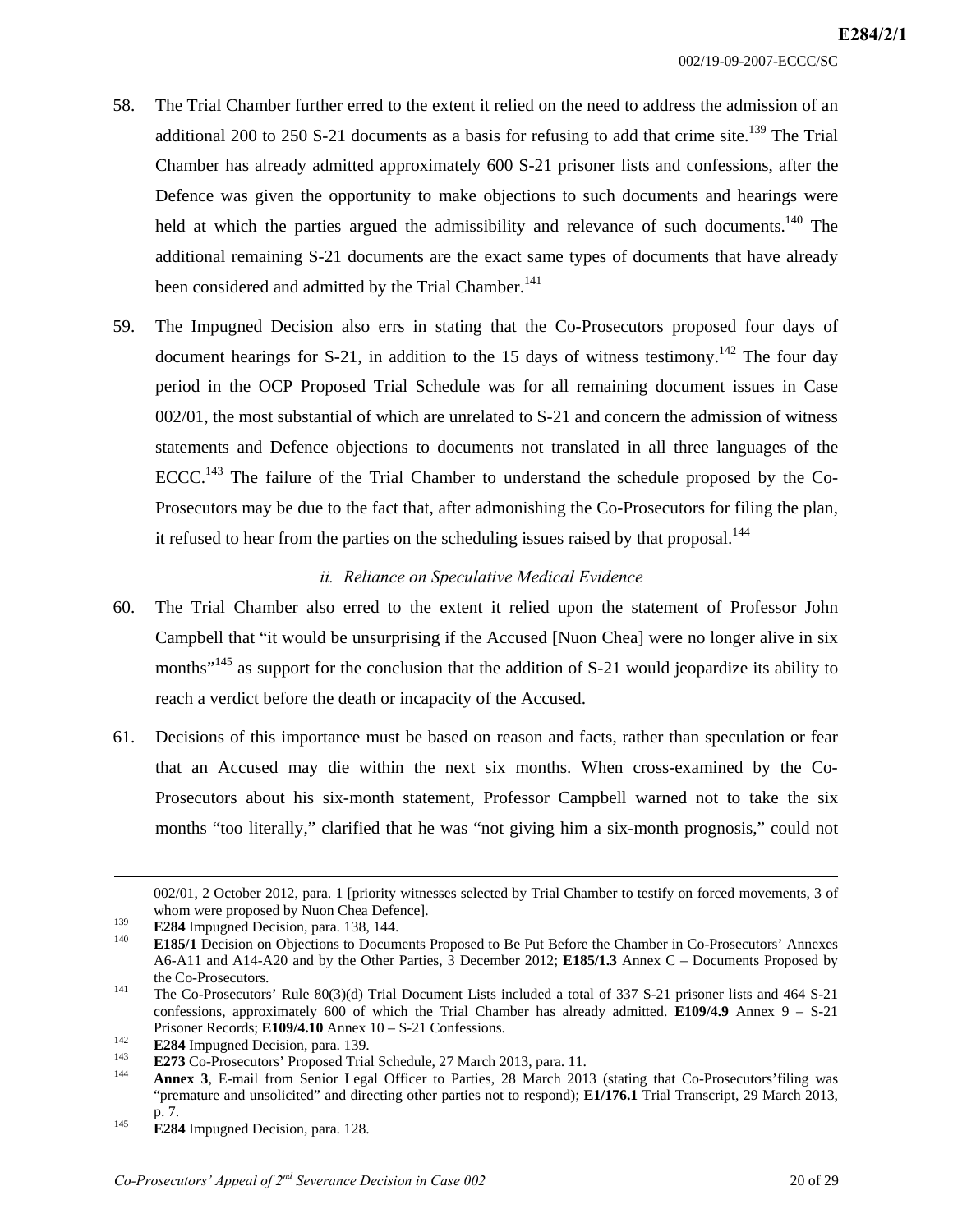- 58. The Trial Chamber further erred to the extent it relied on the need to address the admission of an additional 200 to 250 S-21 documents as a basis for refusing to add that crime site.<sup>139</sup> The Trial Chamber has already admitted approximately 600 S-21 prisoner lists and confessions, after the Defence was given the opportunity to make objections to such documents and hearings were held at which the parties argued the admissibility and relevance of such documents.<sup>140</sup> The additional remaining S-21 documents are the exact same types of documents that have already been considered and admitted by the Trial Chamber.<sup>141</sup>
- 59. The Impugned Decision also errs in stating that the Co-Prosecutors proposed four days of document hearings for S-21, in addition to the 15 days of witness testimony.<sup>142</sup> The four day period in the OCP Proposed Trial Schedule was for all remaining document issues in Case 002/01, the most substantial of which are unrelated to S-21 and concern the admission of witness statements and Defence objections to documents not translated in all three languages of the ECCC.<sup>143</sup> The failure of the Trial Chamber to understand the schedule proposed by the Co-Prosecutors may be due to the fact that, after admonishing the Co-Prosecutors for filing the plan, it refused to hear from the parties on the scheduling issues raised by that proposal.<sup>144</sup>

## *ii. Reliance on Speculative Medical Evidence*

- 60. The Trial Chamber also erred to the extent it relied upon the statement of Professor John Campbell that "it would be unsurprising if the Accused [Nuon Chea] were no longer alive in six months"<sup>145</sup> as support for the conclusion that the addition of S-21 would jeopardize its ability to reach a verdict before the death or incapacity of the Accused.
- 61. Decisions of this importance must be based on reason and facts, rather than speculation or fear that an Accused may die within the next six months. When cross-examined by the Co-Prosecutors about his six-month statement, Professor Campbell warned not to take the six months "too literally," clarified that he was "not giving him a six-month prognosis," could not

 <sup>002/01, 2</sup> October 2012, para. 1 [priority witnesses selected by Trial Chamber to testify on forced movements, 3 of whom were proposed by Nuon Chea Defence].<br>
1<sup>39</sup> **E284** Impugned Decision, para. 138, 144.<br>
140 **E185/1** Decision on Objections to Documents Proposed to Be Put Before the Chamber in Co-Prosecutors' Annexes

A6-A11 and A14-A20 and by the Other Parties, 3 December 2012; **E185/1.3** Annex C – Documents Proposed by the Co-Prosecutors.<br>
141 The Co-Prosecutors' Rule 80(3)(d) Trial Document Lists included a total of 337 S-21 prisoner lists and 464 S-21

confessions, approximately 600 of which the Trial Chamber has already admitted. **E109/4.9** Annex 9 – S-21

E284 Impugned Decision, para. 139.<br>
E273 Co-Prosecutors' Proposed Trial Schedule, 27 March 2013, para. 11.<br> **Annex 3**, E-mail from Senior Legal Officer to Parties, 28 March 2013 (stating that Co-Prosecutors' filing was "premature and unsolicited" and directing other parties not to respond); **E1/176.1** Trial Transcript, 29 March 2013,

p. 7. 145 **E284** Impugned Decision, para. 128.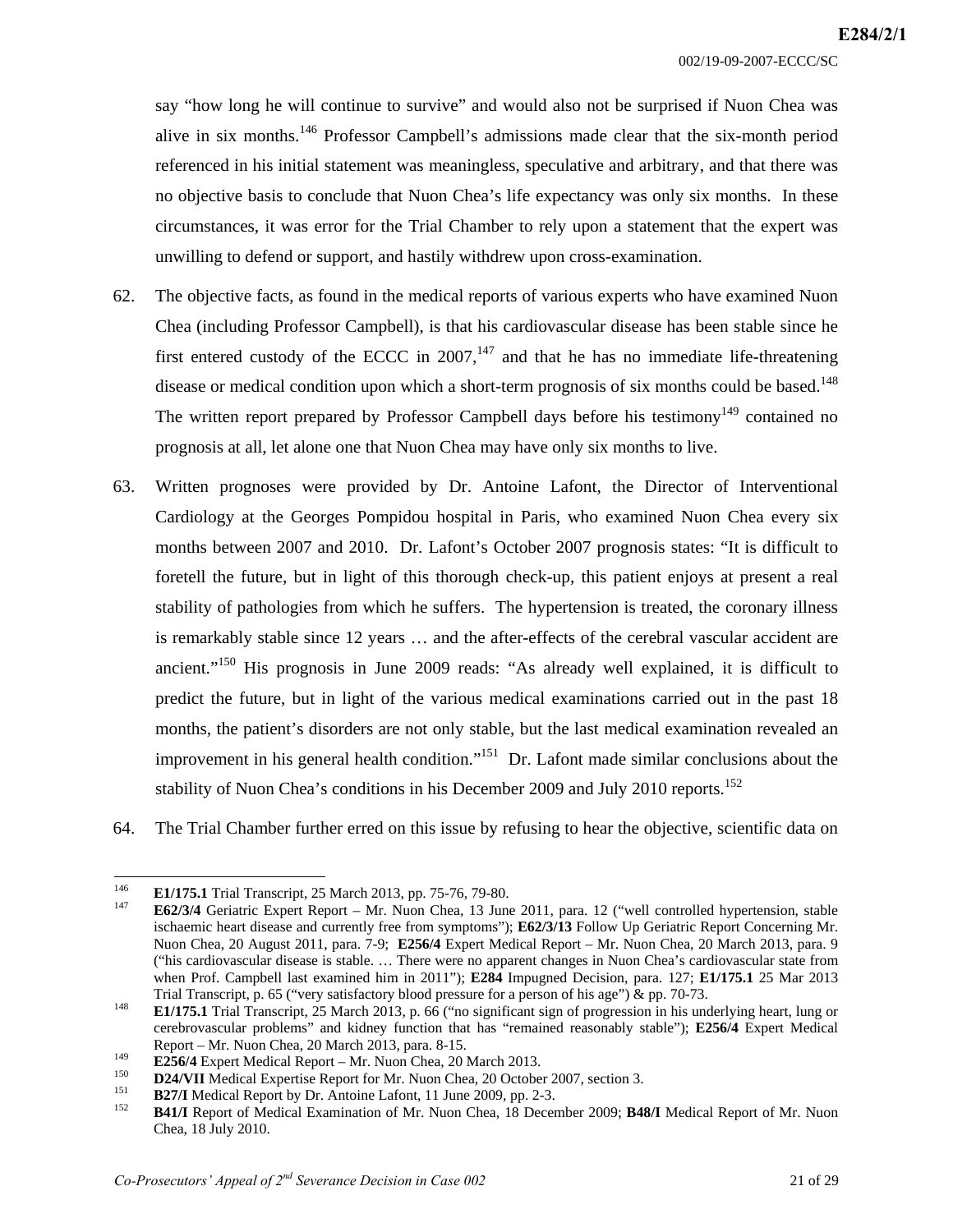say "how long he will continue to survive" and would also not be surprised if Nuon Chea was alive in six months.146 Professor Campbell's admissions made clear that the six-month period referenced in his initial statement was meaningless, speculative and arbitrary, and that there was no objective basis to conclude that Nuon Chea's life expectancy was only six months. In these circumstances, it was error for the Trial Chamber to rely upon a statement that the expert was unwilling to defend or support, and hastily withdrew upon cross-examination.

- 62. The objective facts, as found in the medical reports of various experts who have examined Nuon Chea (including Professor Campbell), is that his cardiovascular disease has been stable since he first entered custody of the ECCC in 2007, $147$  and that he has no immediate life-threatening disease or medical condition upon which a short-term prognosis of six months could be based.<sup>148</sup> The written report prepared by Professor Campbell days before his testimony<sup>149</sup> contained no prognosis at all, let alone one that Nuon Chea may have only six months to live.
- 63. Written prognoses were provided by Dr. Antoine Lafont, the Director of Interventional Cardiology at the Georges Pompidou hospital in Paris, who examined Nuon Chea every six months between 2007 and 2010. Dr. Lafont's October 2007 prognosis states: "It is difficult to foretell the future, but in light of this thorough check-up, this patient enjoys at present a real stability of pathologies from which he suffers. The hypertension is treated, the coronary illness is remarkably stable since 12 years … and the after-effects of the cerebral vascular accident are ancient."<sup>150</sup> His prognosis in June 2009 reads: "As already well explained, it is difficult to predict the future, but in light of the various medical examinations carried out in the past 18 months, the patient's disorders are not only stable, but the last medical examination revealed an improvement in his general health condition."<sup>151</sup> Dr. Lafont made similar conclusions about the stability of Nuon Chea's conditions in his December 2009 and July 2010 reports.<sup>152</sup>
- 64. The Trial Chamber further erred on this issue by refusing to hear the objective, scientific data on

 $146$ 

<sup>146</sup>**E1/175.1** Trial Transcript, 25 March 2013, pp. 75-76, 79-80. 147 **E62/3/4** Geriatric Expert Report – Mr. Nuon Chea, 13 June 2011, para. 12 ("well controlled hypertension, stable ischaemic heart disease and currently free from symptoms"); **E62/3/13** Follow Up Geriatric Report Concerning Mr. Nuon Chea, 20 August 2011, para. 7-9; **E256/4** Expert Medical Report – Mr. Nuon Chea, 20 March 2013, para. 9 ("his cardiovascular disease is stable. … There were no apparent changes in Nuon Chea's cardiovascular state from when Prof. Campbell last examined him in 2011"); **E284** Impugned Decision, para. 127; **E1/175.1** 25 Mar 2013

Trial Transcript, p. 65 ("very satisfactory blood pressure for a person of his age") & pp. 70-73.<br>**E1/175.1** Trial Transcript, 25 March 2013, p. 66 ("no significant sign of progression in his underlying heart, lung or cerebrovascular problems" and kidney function that has "remained reasonably stable"); **E256/4** Expert Medical Report – Mr. Nuon Chea, 20 March 2013, para. 8-15.<br> **E256/4** Expert Medical Report – Mr. Nuon Chea, 20 March 2013.<br> **D24/VII** Medical Expertise Report for Mr. Nuon Chea, 20 October 2007, section 3.<br> **B27/I** Medical Report

Chea, 18 July 2010.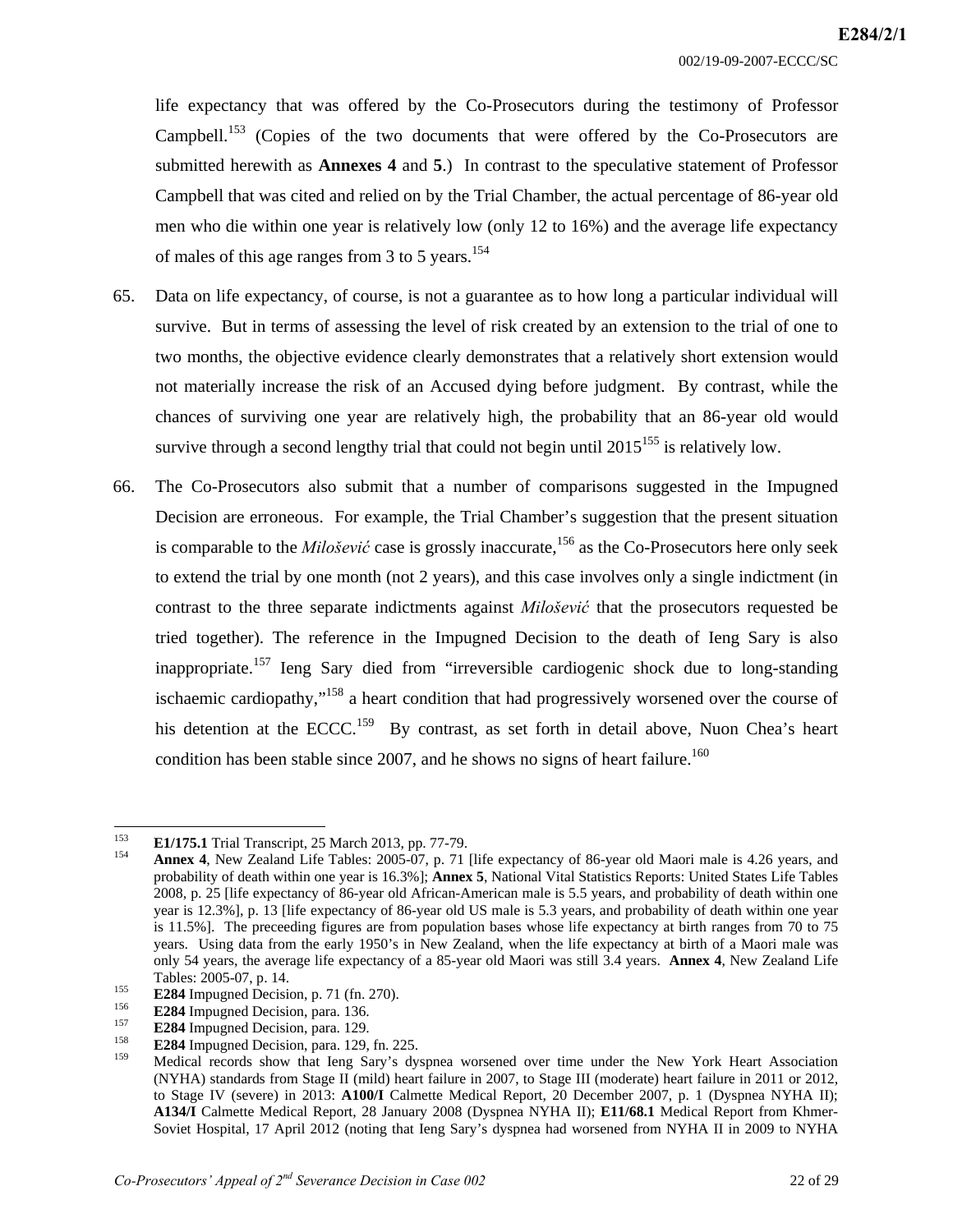life expectancy that was offered by the Co-Prosecutors during the testimony of Professor Campbell.<sup>153</sup> (Copies of the two documents that were offered by the Co-Prosecutors are submitted herewith as **Annexes 4** and **5**.) In contrast to the speculative statement of Professor Campbell that was cited and relied on by the Trial Chamber, the actual percentage of 86-year old men who die within one year is relatively low (only 12 to 16%) and the average life expectancy of males of this age ranges from 3 to 5 years.<sup>154</sup>

- 65. Data on life expectancy, of course, is not a guarantee as to how long a particular individual will survive. But in terms of assessing the level of risk created by an extension to the trial of one to two months, the objective evidence clearly demonstrates that a relatively short extension would not materially increase the risk of an Accused dying before judgment. By contrast, while the chances of surviving one year are relatively high, the probability that an 86-year old would survive through a second lengthy trial that could not begin until  $2015^{155}$  is relatively low.
- 66. The Co-Prosecutors also submit that a number of comparisons suggested in the Impugned Decision are erroneous. For example, the Trial Chamber's suggestion that the present situation is comparable to the *Milošević* case is grossly inaccurate,<sup>156</sup> as the Co-Prosecutors here only seek to extend the trial by one month (not 2 years), and this case involves only a single indictment (in contrast to the three separate indictments against *Milošević* that the prosecutors requested be tried together). The reference in the Impugned Decision to the death of Ieng Sary is also inappropriate.<sup>157</sup> Ieng Sary died from "irreversible cardiogenic shock due to long-standing ischaemic cardiopathy,"158 a heart condition that had progressively worsened over the course of his detention at the ECCC.<sup>159</sup> By contrast, as set forth in detail above, Nuon Chea's heart condition has been stable since 2007, and he shows no signs of heart failure.<sup>160</sup>

<sup>153</sup> 

**E1/175.1** Trial Transcript, 25 March 2013, pp. 77-79.<br> **Annex 4**, New Zealand Life Tables: 2005-07, p. 71 [life expectancy of 86-year old Maori male is 4.26 years, and probability of death within one year is 16.3%]; **Annex 5**, National Vital Statistics Reports: United States Life Tables 2008, p. 25 [life expectancy of 86-year old African-American male is 5.5 years, and probability of death within one year is 12.3%], p. 13 [life expectancy of 86-year old US male is 5.3 years, and probability of death within one year is 11.5%]. The preceeding figures are from population bases whose life expectancy at birth ranges from 70 to 75 years. Using data from the early 1950's in New Zealand, when the life expectancy at birth of a Maori male was only 54 years, the average life expectancy of a 85-year old Maori was still 3.4 years. **Annex 4**, New Zealand Life

Tables: 2005-07, p. 14.<br> **E284** Impugned Decision, p. 71 (fn. 270).<br> **E284** Impugned Decision, para. 136.<br> **E284** Impugned Decision, para. 129.<br> **E284** Impugned Decision, para. 129.<br> **E284** Impugned Decision, para. 129, fn (NYHA) standards from Stage II (mild) heart failure in 2007, to Stage III (moderate) heart failure in 2011 or 2012, to Stage IV (severe) in 2013: **A100/I** Calmette Medical Report, 20 December 2007, p. 1 (Dyspnea NYHA II); **A134/I** Calmette Medical Report, 28 January 2008 (Dyspnea NYHA II); **E11/68.1** Medical Report from Khmer-Soviet Hospital, 17 April 2012 (noting that Ieng Sary's dyspnea had worsened from NYHA II in 2009 to NYHA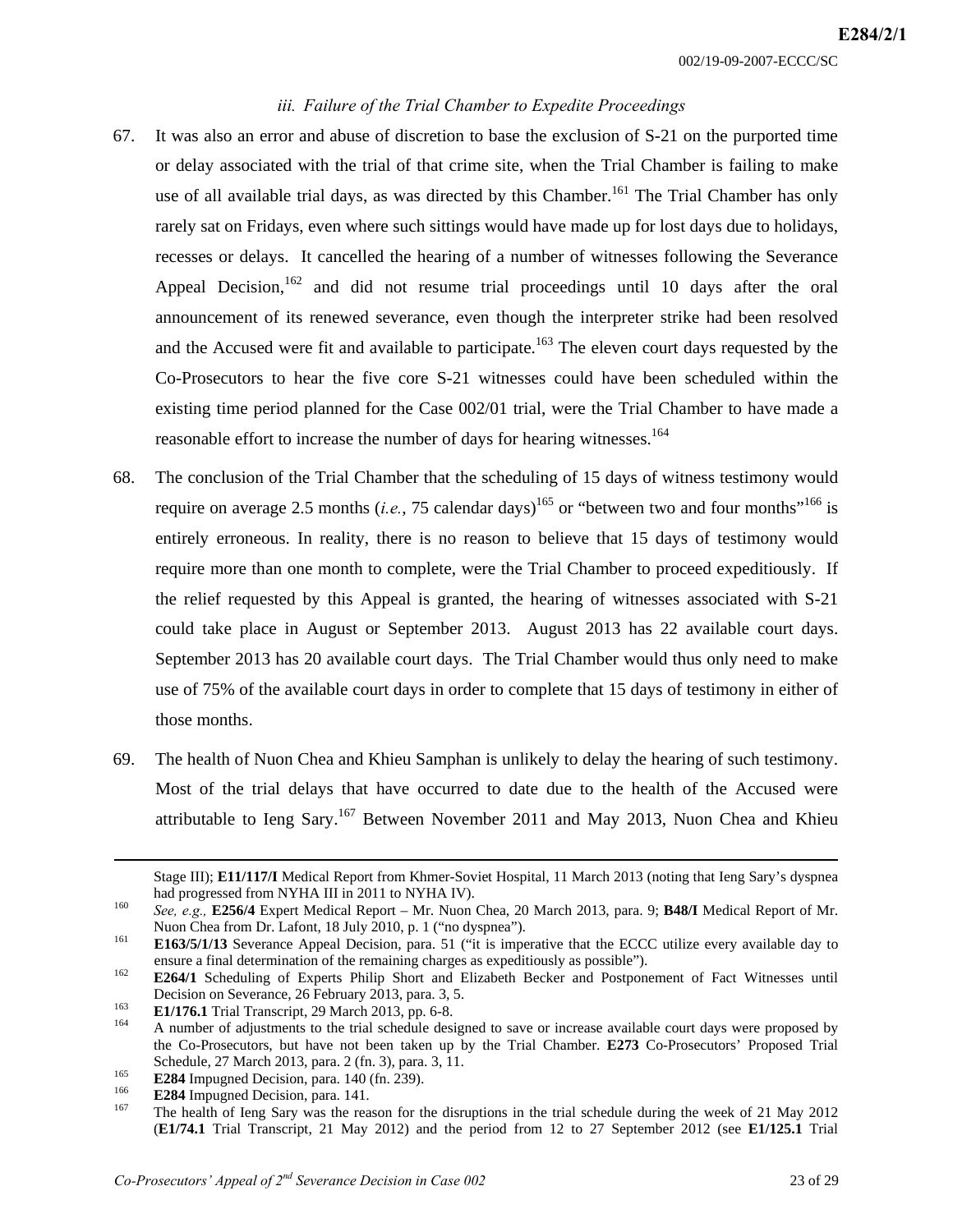#### *iii. Failure of the Trial Chamber to Expedite Proceedings*

- 67. It was also an error and abuse of discretion to base the exclusion of S-21 on the purported time or delay associated with the trial of that crime site, when the Trial Chamber is failing to make use of all available trial days, as was directed by this Chamber.<sup>161</sup> The Trial Chamber has only rarely sat on Fridays, even where such sittings would have made up for lost days due to holidays, recesses or delays. It cancelled the hearing of a number of witnesses following the Severance Appeal Decision,  $162$  and did not resume trial proceedings until 10 days after the oral announcement of its renewed severance, even though the interpreter strike had been resolved and the Accused were fit and available to participate.<sup>163</sup> The eleven court days requested by the Co-Prosecutors to hear the five core S-21 witnesses could have been scheduled within the existing time period planned for the Case 002/01 trial, were the Trial Chamber to have made a reasonable effort to increase the number of days for hearing witnesses.<sup>164</sup>
- 68. The conclusion of the Trial Chamber that the scheduling of 15 days of witness testimony would require on average 2.5 months (*i.e.*, 75 calendar days)<sup>165</sup> or "between two and four months"<sup>166</sup> is entirely erroneous. In reality, there is no reason to believe that 15 days of testimony would require more than one month to complete, were the Trial Chamber to proceed expeditiously. If the relief requested by this Appeal is granted, the hearing of witnesses associated with S-21 could take place in August or September 2013. August 2013 has 22 available court days. September 2013 has 20 available court days. The Trial Chamber would thus only need to make use of 75% of the available court days in order to complete that 15 days of testimony in either of those months.
- 69. The health of Nuon Chea and Khieu Samphan is unlikely to delay the hearing of such testimony. Most of the trial delays that have occurred to date due to the health of the Accused were attributable to Ieng Sary.167 Between November 2011 and May 2013, Nuon Chea and Khieu

Stage III); **E11/117/I** Medical Report from Khmer-Soviet Hospital, 11 March 2013 (noting that Ieng Sary's dyspnea had progressed from NYHA III in 2011 to NYHA IV).<br><sup>160</sup> *See, e.g.,* **E256/4** Expert Medical Report – Mr. Nuon Chea, 20 March 2013, para. 9; **B48/I** Medical Report of Mr.

Nuon Chea from Dr. Lafont, 18 July 2010, p. 1 ("no dyspnea").<br>161 **E163/5/1/13** Severance Appeal Decision, para. 51 ("it is imperative that the ECCC utilize every available day to

ensure a final determination of the remaining charges as expeditiously as possible").<br><sup>162</sup> **E264/1** Scheduling of Experts Philip Short and Elizabeth Becker and Postponement of Fact Witnesses until

Decision on Severance, 26 February 2013, para. 3, 5.<br>**E1/176.1** Trial Transcript, 29 March 2013, pp. 6-8.<br>A number of adjustments to the trial schedule designed to save or increase available court days were proposed by

the Co-Prosecutors, but have not been taken up by the Trial Chamber. **E273** Co-Prosecutors' Proposed Trial Schedule, 27 March 2013, para. 2 (fn. 3), para. 3, 11.

E284 Impugned Decision, para. 140 (fn. 239).<br> **E284** Impugned Decision, para. 140 (fn. 239).<br> **E284** Impugned Decision, para. 141.<br>
The health of Ieng Sary was the reason for the disruptions in the trial schedule during th (**E1/74.1** Trial Transcript, 21 May 2012) and the period from 12 to 27 September 2012 (see **E1/125.1** Trial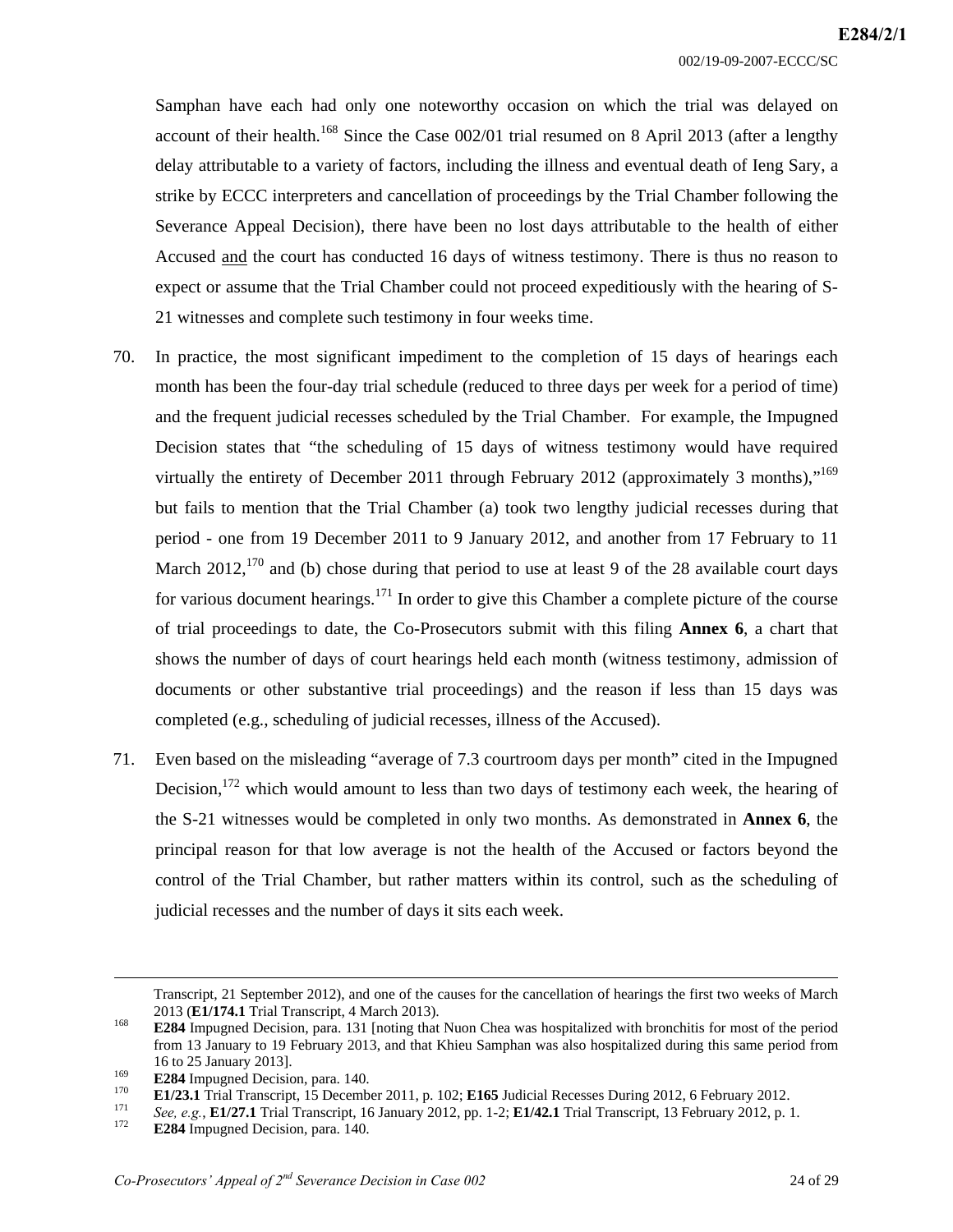Samphan have each had only one noteworthy occasion on which the trial was delayed on account of their health.<sup>168</sup> Since the Case  $002/01$  trial resumed on 8 April 2013 (after a lengthy delay attributable to a variety of factors, including the illness and eventual death of Ieng Sary, a strike by ECCC interpreters and cancellation of proceedings by the Trial Chamber following the Severance Appeal Decision), there have been no lost days attributable to the health of either Accused and the court has conducted 16 days of witness testimony. There is thus no reason to expect or assume that the Trial Chamber could not proceed expeditiously with the hearing of S-21 witnesses and complete such testimony in four weeks time.

- 70. In practice, the most significant impediment to the completion of 15 days of hearings each month has been the four-day trial schedule (reduced to three days per week for a period of time) and the frequent judicial recesses scheduled by the Trial Chamber. For example, the Impugned Decision states that "the scheduling of 15 days of witness testimony would have required virtually the entirety of December 2011 through February 2012 (approximately 3 months),<sup> $169$ </sup> but fails to mention that the Trial Chamber (a) took two lengthy judicial recesses during that period - one from 19 December 2011 to 9 January 2012, and another from 17 February to 11 March  $2012$ ,  $170$  and (b) chose during that period to use at least 9 of the 28 available court days for various document hearings.<sup>171</sup> In order to give this Chamber a complete picture of the course of trial proceedings to date, the Co-Prosecutors submit with this filing **Annex 6**, a chart that shows the number of days of court hearings held each month (witness testimony, admission of documents or other substantive trial proceedings) and the reason if less than 15 days was completed (e.g., scheduling of judicial recesses, illness of the Accused).
- 71. Even based on the misleading "average of 7.3 courtroom days per month" cited in the Impugned Decision, $1^{172}$  which would amount to less than two days of testimony each week, the hearing of the S-21 witnesses would be completed in only two months. As demonstrated in **Annex 6**, the principal reason for that low average is not the health of the Accused or factors beyond the control of the Trial Chamber, but rather matters within its control, such as the scheduling of judicial recesses and the number of days it sits each week.

Transcript, 21 September 2012), and one of the causes for the cancellation of hearings the first two weeks of March 2013 (**E1/174.1** Trial Transcript, 4 March 2013). 168 **E284** Impugned Decision, para. 131 [noting that Nuon Chea was hospitalized with bronchitis for most of the period

from 13 January to 19 February 2013, and that Khieu Samphan was also hospitalized during this same period from 16 to 25 January 2013].<br> **E284** Impugned Decision, para. 140.<br> **E1/23.1** Trial Transcript, 15 December 2011, p. 102; **E165** Judicial Recesses During 2012, 6 February 2012.<br> *See, e.g.*, **E1/27.1** Trial Transcript, 16 Janua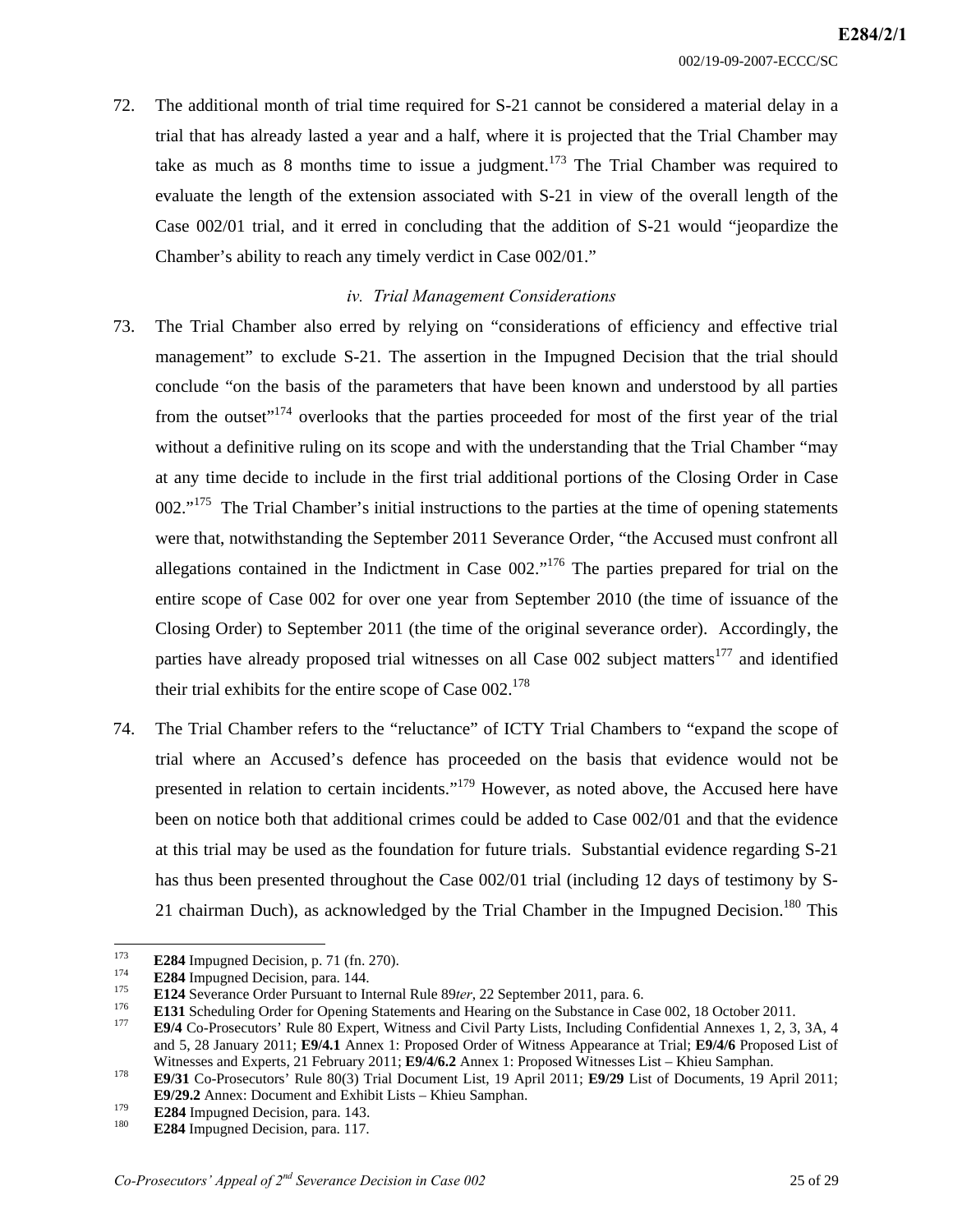72. The additional month of trial time required for S-21 cannot be considered a material delay in a trial that has already lasted a year and a half, where it is projected that the Trial Chamber may take as much as 8 months time to issue a judgment.<sup>173</sup> The Trial Chamber was required to evaluate the length of the extension associated with S-21 in view of the overall length of the Case 002/01 trial, and it erred in concluding that the addition of S-21 would "jeopardize the Chamber's ability to reach any timely verdict in Case 002/01."

### *iv. Trial Management Considerations*

- 73. The Trial Chamber also erred by relying on "considerations of efficiency and effective trial management" to exclude S-21. The assertion in the Impugned Decision that the trial should conclude "on the basis of the parameters that have been known and understood by all parties from the outset"<sup>174</sup> overlooks that the parties proceeded for most of the first year of the trial without a definitive ruling on its scope and with the understanding that the Trial Chamber "may at any time decide to include in the first trial additional portions of the Closing Order in Case  $002.^{175}$  The Trial Chamber's initial instructions to the parties at the time of opening statements were that, notwithstanding the September 2011 Severance Order, "the Accused must confront all allegations contained in the Indictment in Case  $002.^{176}$  The parties prepared for trial on the entire scope of Case 002 for over one year from September 2010 (the time of issuance of the Closing Order) to September 2011 (the time of the original severance order). Accordingly, the parties have already proposed trial witnesses on all Case 002 subject matters<sup>177</sup> and identified their trial exhibits for the entire scope of Case  $002$ .<sup>178</sup>
- 74. The Trial Chamber refers to the "reluctance" of ICTY Trial Chambers to "expand the scope of trial where an Accused's defence has proceeded on the basis that evidence would not be presented in relation to certain incidents."<sup>179</sup> However, as noted above, the Accused here have been on notice both that additional crimes could be added to Case 002/01 and that the evidence at this trial may be used as the foundation for future trials. Substantial evidence regarding S-21 has thus been presented throughout the Case 002/01 trial (including 12 days of testimony by S-21 chairman Duch), as acknowledged by the Trial Chamber in the Impugned Decision.<sup>180</sup> This

<sup>173</sup> 

E284 Impugned Decision, p. 71 (fn. 270).<br>
E284 Impugned Decision, para. 144.<br>
E124 Severance Order Pursuant to Internal Rule 89*ter*, 22 September 2011, para. 6.<br>
E131 Scheduling Order for Opening Statements and Hearing o

and 5, 28 January 2011; **E9/4.1** Annex 1: Proposed Order of Witness Appearance at Trial; **E9/4/6** Proposed List of

<sup>178</sup> E9/31 Co-Prosecutors' Rule 80(3) Trial Document List, 19 April 2011; E9/29 List of Documents, 19 April 2011; **E9/29.2** Annex: Document and Exhibit Lists – Khieu Samphan.<br> **E284** Impugned Decision, para. 143.<br> **E284** Impugned Decision, para. 117.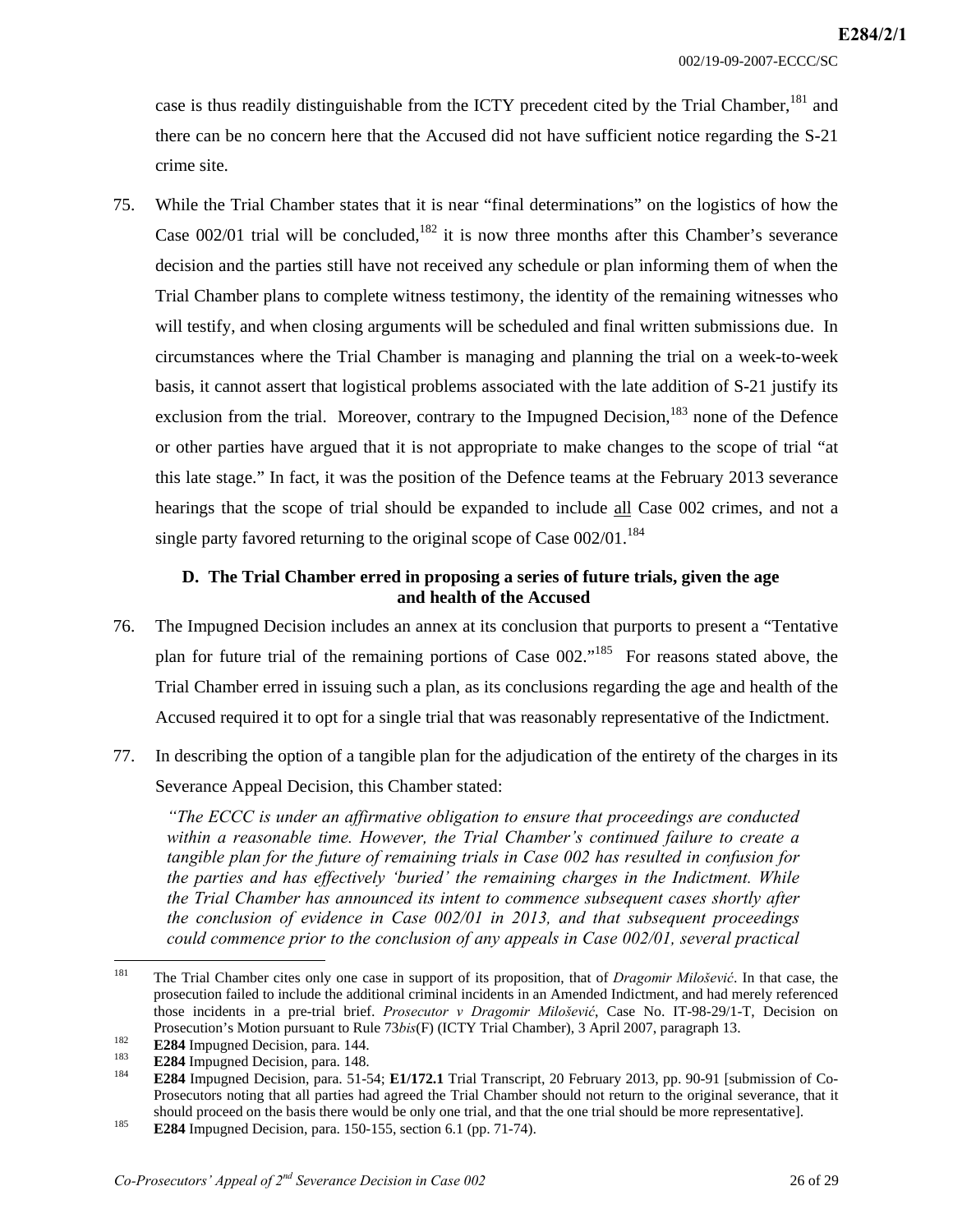case is thus readily distinguishable from the ICTY precedent cited by the Trial Chamber,<sup>181</sup> and there can be no concern here that the Accused did not have sufficient notice regarding the S-21 crime site.

75. While the Trial Chamber states that it is near "final determinations" on the logistics of how the Case  $002/01$  trial will be concluded,  $182$  it is now three months after this Chamber's severance decision and the parties still have not received any schedule or plan informing them of when the Trial Chamber plans to complete witness testimony, the identity of the remaining witnesses who will testify, and when closing arguments will be scheduled and final written submissions due. In circumstances where the Trial Chamber is managing and planning the trial on a week-to-week basis, it cannot assert that logistical problems associated with the late addition of S-21 justify its exclusion from the trial. Moreover, contrary to the Impugned Decision,  $^{183}$  none of the Defence or other parties have argued that it is not appropriate to make changes to the scope of trial "at this late stage." In fact, it was the position of the Defence teams at the February 2013 severance hearings that the scope of trial should be expanded to include all Case 002 crimes, and not a single party favored returning to the original scope of Case  $002/01$ .<sup>184</sup>

## **D. The Trial Chamber erred in proposing a series of future trials, given the age and health of the Accused**

- 76. The Impugned Decision includes an annex at its conclusion that purports to present a "Tentative plan for future trial of the remaining portions of Case  $002$ ."<sup>185</sup> For reasons stated above, the Trial Chamber erred in issuing such a plan, as its conclusions regarding the age and health of the Accused required it to opt for a single trial that was reasonably representative of the Indictment.
- 77. In describing the option of a tangible plan for the adjudication of the entirety of the charges in its Severance Appeal Decision, this Chamber stated:

*"The ECCC is under an affirmative obligation to ensure that proceedings are conducted within a reasonable time. However, the Trial Chamber's continued failure to create a tangible plan for the future of remaining trials in Case 002 has resulted in confusion for the parties and has effectively 'buried' the remaining charges in the Indictment. While the Trial Chamber has announced its intent to commence subsequent cases shortly after the conclusion of evidence in Case 002/01 in 2013, and that subsequent proceedings could commence prior to the conclusion of any appeals in Case 002/01, several practical* 

<sup>181</sup> 181 The Trial Chamber cites only one case in support of its proposition, that of *Dragomir Milošević*. In that case, the prosecution failed to include the additional criminal incidents in an Amended Indictment, and had merely referenced those incidents in a pre-trial brief. *Prosecutor v Dragomir Milošević*, Case No. IT-98-29/1-T, Decision on

E284 Impugned Decision, para. 144.<br>
E284 Impugned Decision, para. 148.<br>
E284 Impugned Decision, para. 148.<br>
E284 Impugned Decision, para. 51-54; E1/172.1 Trial Transcript, 20 February 2013, pp. 90-91 [submission of Co-Prosecutors noting that all parties had agreed the Trial Chamber should not return to the original severance, that it should proceed on the basis there would be only one trial, and that the one trial should be more representative].<br>**E284** Impugned Decision, para. 150-155, section 6.1 (pp. 71-74).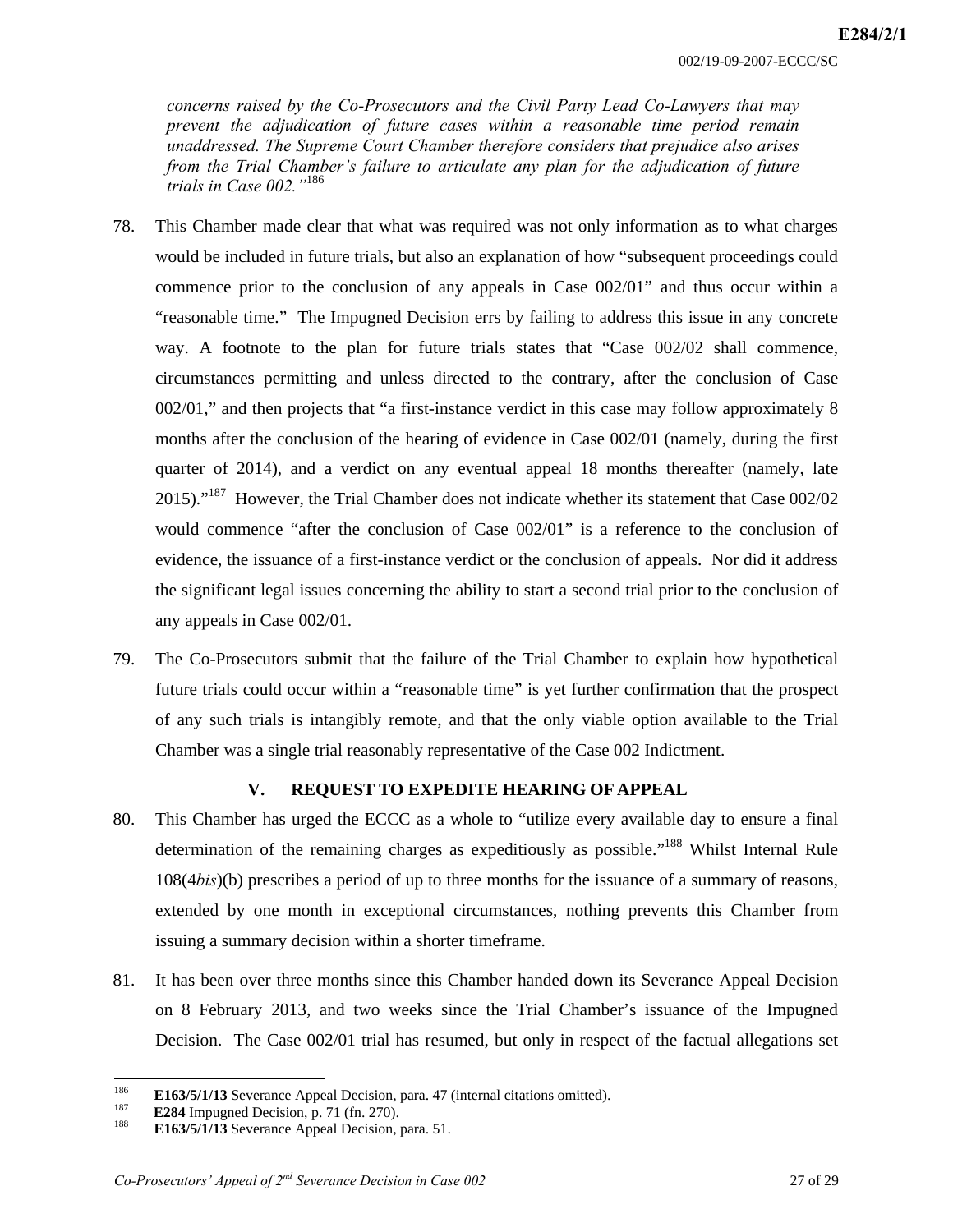*concerns raised by the Co-Prosecutors and the Civil Party Lead Co-Lawyers that may prevent the adjudication of future cases within a reasonable time period remain unaddressed. The Supreme Court Chamber therefore considers that prejudice also arises from the Trial Chamber's failure to articulate any plan for the adjudication of future trials in Case 002."*<sup>186</sup>

- 78. This Chamber made clear that what was required was not only information as to what charges would be included in future trials, but also an explanation of how "subsequent proceedings could commence prior to the conclusion of any appeals in Case 002/01" and thus occur within a "reasonable time." The Impugned Decision errs by failing to address this issue in any concrete way. A footnote to the plan for future trials states that "Case 002/02 shall commence, circumstances permitting and unless directed to the contrary, after the conclusion of Case 002/01," and then projects that "a first-instance verdict in this case may follow approximately 8 months after the conclusion of the hearing of evidence in Case 002/01 (namely, during the first quarter of 2014), and a verdict on any eventual appeal 18 months thereafter (namely, late 2015)."<sup>187</sup> However, the Trial Chamber does not indicate whether its statement that Case  $002/02$ would commence "after the conclusion of Case 002/01" is a reference to the conclusion of evidence, the issuance of a first-instance verdict or the conclusion of appeals. Nor did it address the significant legal issues concerning the ability to start a second trial prior to the conclusion of any appeals in Case 002/01.
- 79. The Co-Prosecutors submit that the failure of the Trial Chamber to explain how hypothetical future trials could occur within a "reasonable time" is yet further confirmation that the prospect of any such trials is intangibly remote, and that the only viable option available to the Trial Chamber was a single trial reasonably representative of the Case 002 Indictment.

## **V. REQUEST TO EXPEDITE HEARING OF APPEAL**

- 80. This Chamber has urged the ECCC as a whole to "utilize every available day to ensure a final determination of the remaining charges as expeditiously as possible."<sup>188</sup> Whilst Internal Rule 108(4*bis*)(b) prescribes a period of up to three months for the issuance of a summary of reasons, extended by one month in exceptional circumstances, nothing prevents this Chamber from issuing a summary decision within a shorter timeframe.
- 81. It has been over three months since this Chamber handed down its Severance Appeal Decision on 8 February 2013, and two weeks since the Trial Chamber's issuance of the Impugned Decision. The Case 002/01 trial has resumed, but only in respect of the factual allegations set

<sup>186</sup> E163/5/1/13 Severance Appeal Decision, para. 47 (internal citations omitted).<br> **E284** Impugned Decision, p. 71 (fn. 270).<br> **E163/5/1/13** Severance Appeal Decision, para. 51.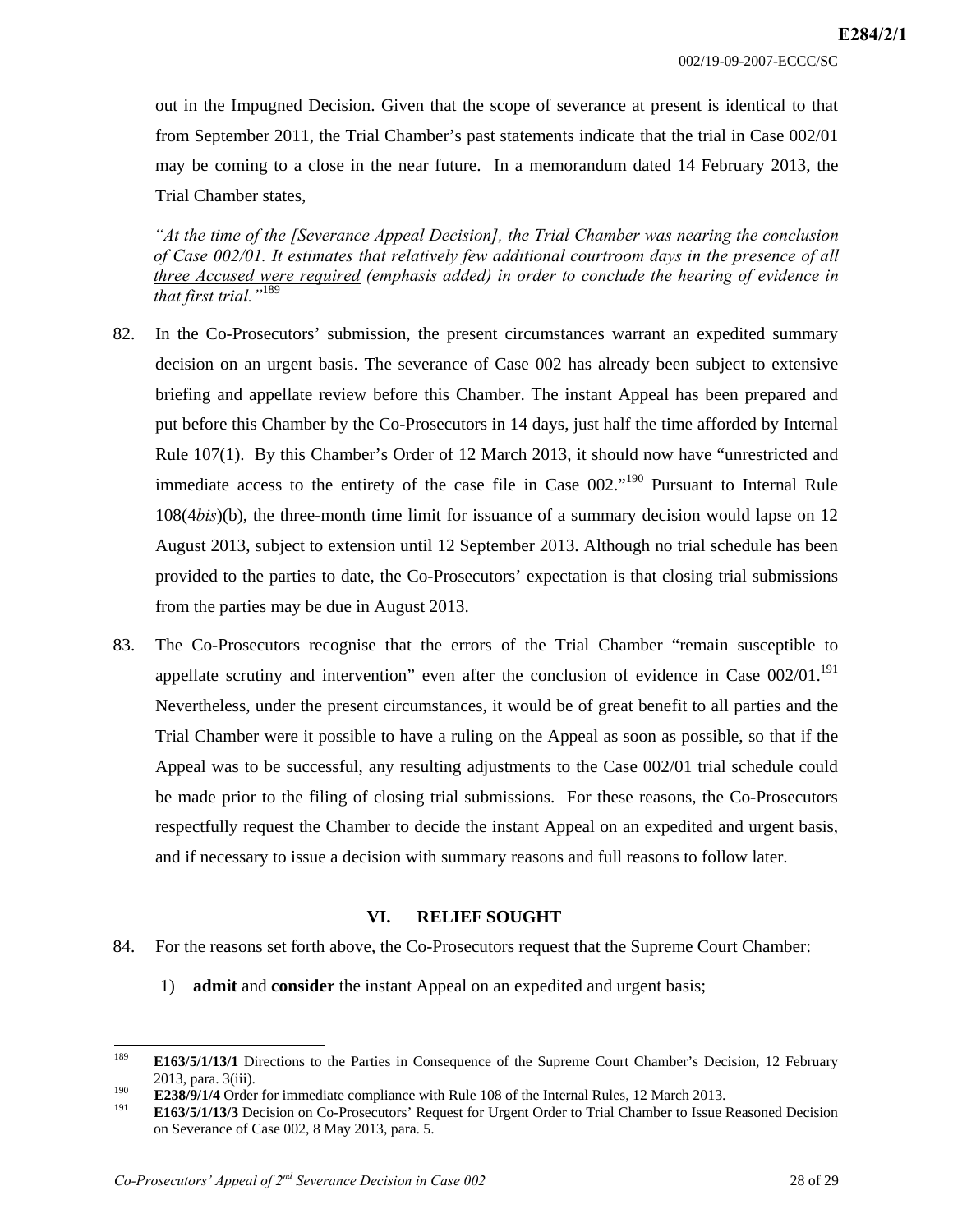out in the Impugned Decision. Given that the scope of severance at present is identical to that from September 2011, the Trial Chamber's past statements indicate that the trial in Case 002/01 may be coming to a close in the near future. In a memorandum dated 14 February 2013, the Trial Chamber states,

*"At the time of the [Severance Appeal Decision], the Trial Chamber was nearing the conclusion of Case 002/01. It estimates that relatively few additional courtroom days in the presence of all three Accused were required (emphasis added) in order to conclude the hearing of evidence in that first trial."*<sup>189</sup>

- 82. In the Co-Prosecutors' submission, the present circumstances warrant an expedited summary decision on an urgent basis. The severance of Case 002 has already been subject to extensive briefing and appellate review before this Chamber. The instant Appeal has been prepared and put before this Chamber by the Co-Prosecutors in 14 days, just half the time afforded by Internal Rule 107(1). By this Chamber's Order of 12 March 2013, it should now have "unrestricted and immediate access to the entirety of the case file in Case 002."<sup>190</sup> Pursuant to Internal Rule 108(4*bis*)(b), the three-month time limit for issuance of a summary decision would lapse on 12 August 2013, subject to extension until 12 September 2013. Although no trial schedule has been provided to the parties to date, the Co-Prosecutors' expectation is that closing trial submissions from the parties may be due in August 2013.
- 83. The Co-Prosecutors recognise that the errors of the Trial Chamber "remain susceptible to appellate scrutiny and intervention" even after the conclusion of evidence in Case  $002/01$ .<sup>191</sup> Nevertheless, under the present circumstances, it would be of great benefit to all parties and the Trial Chamber were it possible to have a ruling on the Appeal as soon as possible, so that if the Appeal was to be successful, any resulting adjustments to the Case 002/01 trial schedule could be made prior to the filing of closing trial submissions. For these reasons, the Co-Prosecutors respectfully request the Chamber to decide the instant Appeal on an expedited and urgent basis, and if necessary to issue a decision with summary reasons and full reasons to follow later.

#### **VI. RELIEF SOUGHT**

- 84. For the reasons set forth above, the Co-Prosecutors request that the Supreme Court Chamber:
	- 1) **admit** and **consider** the instant Appeal on an expedited and urgent basis;

<sup>189</sup> 189 **E163/5/1/13/1** Directions to the Parties in Consequence of the Supreme Court Chamber's Decision, 12 February 2013, para. 3(iii).<br>**E238/9/1/4** Order for immediate compliance with Rule 108 of the Internal Rules, 12 March 2013.<br><sup>191</sup> E163/5/1/13/3 Decision on Co-Prosecutors' Request for Urgent Order to Trial Chamber to Issue Reasone

on Severance of Case 002, 8 May 2013, para. 5.